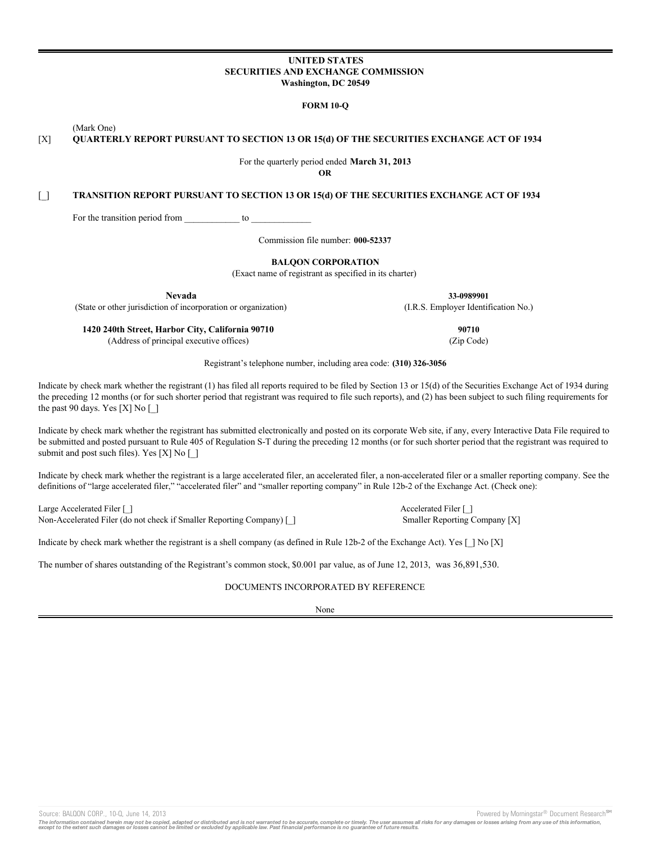## **UNITED STATES SECURITIES AND EXCHANGE COMMISSION Washington, DC 20549**

**FORM 10-Q**

(Mark One)

[X] **QUARTERLY REPORT PURSUANT TO SECTION 13 OR 15(d) OF THE SECURITIES EXCHANGE ACT OF 1934**

For the quarterly period ended **March 31, 2013**

**OR**

#### [\_] **TRANSITION REPORT PURSUANT TO SECTION 13 OR 15(d) OF THE SECURITIES EXCHANGE ACT OF 1934**

For the transition period from to  $\sim$ 

Commission file number: **000-52337**

**BALQON CORPORATION**

(Exact name of registrant as specified in its charter)

**Nevada** (State or other jurisdiction of incorporation or organization)

**1420 240th Street, Harbor City, California 90710** (Address of principal executive offices)

**33-0989901** (I.R.S. Employer Identification No.)

> **90710** (Zip Code)

## Registrant's telephone number, including area code: **(310) 326-3056**

Indicate by check mark whether the registrant (1) has filed all reports required to be filed by Section 13 or 15(d) of the Securities Exchange Act of 1934 during the preceding 12 months (or for such shorter period that registrant was required to file such reports), and (2) has been subject to such filing requirements for the past 90 days. Yes [X] No [\_]

Indicate by check mark whether the registrant has submitted electronically and posted on its corporate Web site, if any, every Interactive Data File required to be submitted and posted pursuant to Rule 405 of Regulation S-T during the preceding 12 months (or for such shorter period that the registrant was required to submit and post such files). Yes [X] No [\_]

Indicate by check mark whether the registrant is a large accelerated filer, an accelerated filer, a non-accelerated filer or a smaller reporting company. See the definitions of "large accelerated filer," "accelerated filer" and "smaller reporting company" in Rule 12b-2 of the Exchange Act. (Check one):

Large Accelerated Filer [ ] Accelerated Filer [ ] Non-Accelerated Filer (do not check if Smaller Reporting Company) [ ] Smaller Reporting Company [X]

Indicate by check mark whether the registrant is a shell company (as defined in Rule 12b-2 of the Exchange Act). Yes [\_] No [X]

The number of shares outstanding of the Registrant's common stock, \$0.001 par value, as of June 12, 2013, was 36,891,530.

### DOCUMENTS INCORPORATED BY REFERENCE

None

Source: BALQON CORP., 10-Q, June 14, 2013 **Powered by Morningstar® Document Research** <sup>sm</sup>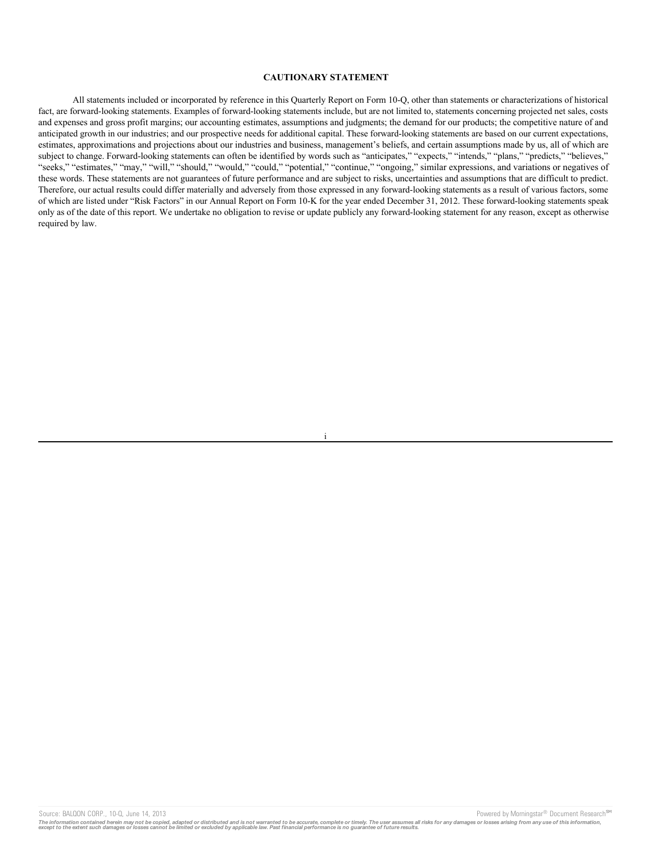## **CAUTIONARY STATEMENT**

All statements included or incorporated by reference in this Quarterly Report on Form 10-Q, other than statements or characterizations of historical fact, are forward-looking statements. Examples of forward-looking statements include, but are not limited to, statements concerning projected net sales, costs and expenses and gross profit margins; our accounting estimates, assumptions and judgments; the demand for our products; the competitive nature of and anticipated growth in our industries; and our prospective needs for additional capital. These forward-looking statements are based on our current expectations, estimates, approximations and projections about our industries and business, management's beliefs, and certain assumptions made by us, all of which are subject to change. Forward-looking statements can often be identified by words such as "anticipates," "expects," "intends," "plans," "predicts," "believes," "seeks," "estimates," "may," "will," "should," "would," "could," "potential," "continue," "ongoing," similar expressions, and variations or negatives of these words. These statements are not guarantees of future performance and are subject to risks, uncertainties and assumptions that are difficult to predict. Therefore, our actual results could differ materially and adversely from those expressed in any forward-looking statements as a result of various factors, some of which are listed under "Risk Factors" in our Annual Report on Form 10-K for the year ended December 31, 2012. These forward-looking statements speak only as of the date of this report. We undertake no obligation to revise or update publicly any forward-looking statement for any reason, except as otherwise required by law.

i

Source: BALQON CORP., 10-Q, June 14, 2013 **Powered by Morningstar<sup>®</sup> Document Research<sup>SM</sup>**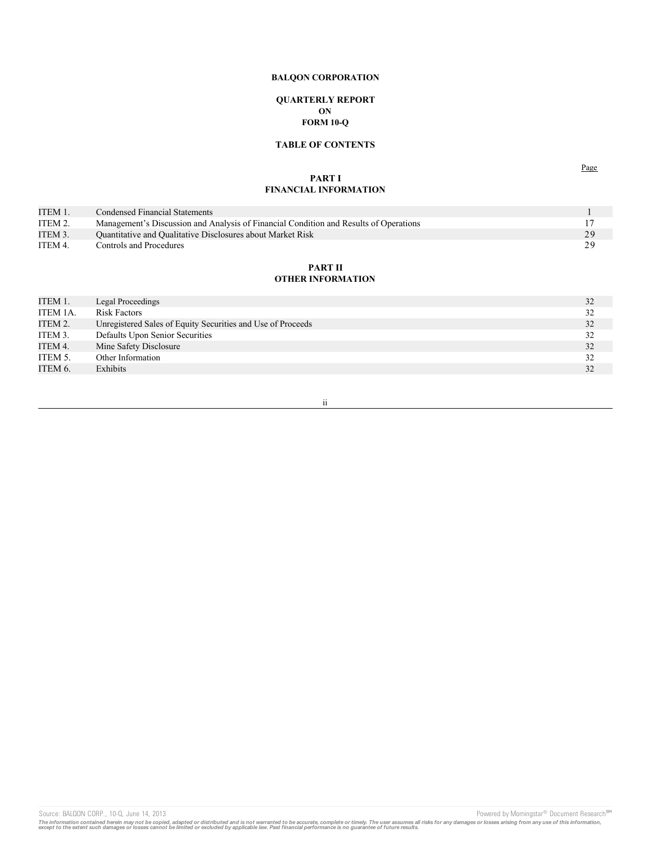## **QUARTERLY REPORT ON FORM 10-Q**

## **TABLE OF CONTENTS**

Page

## **PART I FINANCIAL INFORMATION**

| ITEM 1. | <b>Condensed Financial Statements</b>                                                 |    |
|---------|---------------------------------------------------------------------------------------|----|
| ITEM 2. | Management's Discussion and Analysis of Financial Condition and Results of Operations |    |
| ITEM 3. | Quantitative and Qualitative Disclosures about Market Risk                            | 29 |
| ITEM 4. | Controls and Procedures                                                               | 29 |

## **PART II OTHER INFORMATION**

| ITEM 1.  | Legal Proceedings                                           | 32 |
|----------|-------------------------------------------------------------|----|
| ITEM 1A. | <b>Risk Factors</b>                                         | 32 |
| ITEM 2.  | Unregistered Sales of Equity Securities and Use of Proceeds | 32 |
| ITEM 3.  | Defaults Upon Senior Securities                             | 32 |
| ITEM 4.  | Mine Safety Disclosure                                      | 32 |
| ITEM 5.  | Other Information                                           | 32 |
| ITEM 6.  | Exhibits                                                    | 32 |

Source: BALQON CORP., 10-Q, June 14, 2013 **Powered by Morningstar®** Document Research SM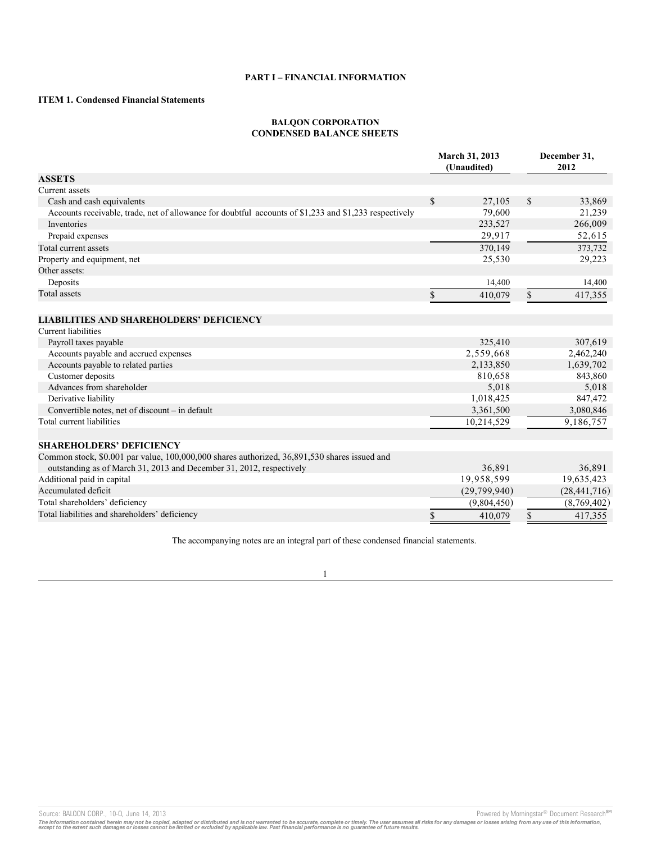# **PART I – FINANCIAL INFORMATION**

# **ITEM 1. Condensed Financial Statements**

## **BALQON CORPORATION CONDENSED BALANCE SHEETS**

|                                                                                                        | March 31, 2013<br>(Unaudited) |                | December 31,<br>2012 |
|--------------------------------------------------------------------------------------------------------|-------------------------------|----------------|----------------------|
| <b>ASSETS</b>                                                                                          |                               |                |                      |
| Current assets                                                                                         |                               |                |                      |
| Cash and cash equivalents                                                                              | \$                            | 27,105         | \$<br>33,869         |
| Accounts receivable, trade, net of allowance for doubtful accounts of \$1,233 and \$1,233 respectively |                               | 79,600         | 21,239               |
| Inventories                                                                                            |                               | 233,527        | 266,009              |
| Prepaid expenses                                                                                       |                               | 29,917         | 52,615               |
| Total current assets                                                                                   |                               | 370,149        | 373,732              |
| Property and equipment, net                                                                            |                               | 25,530         | 29,223               |
| Other assets:                                                                                          |                               |                |                      |
| Deposits                                                                                               |                               | 14,400         | 14,400               |
| <b>Total</b> assets                                                                                    |                               | 410,079        | \$<br>417,355        |
| <b>LIABILITIES AND SHAREHOLDERS' DEFICIENCY</b>                                                        |                               |                |                      |
| Current liabilities                                                                                    |                               |                |                      |
| Payroll taxes payable                                                                                  |                               | 325,410        | 307,619              |
| Accounts payable and accrued expenses                                                                  |                               | 2,559,668      | 2,462,240            |
| Accounts payable to related parties                                                                    |                               | 2,133,850      | 1,639,702            |
| Customer deposits                                                                                      |                               | 810,658        | 843,860              |
| Advances from shareholder                                                                              |                               | 5,018          | 5,018                |
| Derivative liability                                                                                   |                               | 1,018,425      | 847,472              |
| Convertible notes, net of discount – in default                                                        |                               | 3,361,500      | 3,080,846            |
| Total current liabilities                                                                              |                               | 10,214,529     | 9,186,757            |
| <b>SHAREHOLDERS' DEFICIENCY</b>                                                                        |                               |                |                      |
| Common stock, \$0.001 par value, 100,000,000 shares authorized, 36,891,530 shares issued and           |                               |                |                      |
| outstanding as of March 31, 2013 and December 31, 2012, respectively                                   |                               | 36,891         | 36,891               |
| Additional paid in capital                                                                             |                               | 19,958,599     | 19,635,423           |
| Accumulated deficit                                                                                    |                               | (29, 799, 940) | (28, 441, 716)       |
| Total shareholders' deficiency                                                                         |                               | (9,804,450)    | (8,769,402)          |
| Total liabilities and shareholders' deficiency                                                         | \$                            | 410,079        | \$<br>417,355        |

The accompanying notes are an integral part of these condensed financial statements.

1

Source: BALQON CORP., 10-Q, June 14, 2013<br>The information contained herein may not be copied, adapted or distributed and is not warranted to be accurate, complete or timely. The user assumes all risks for any damages or lo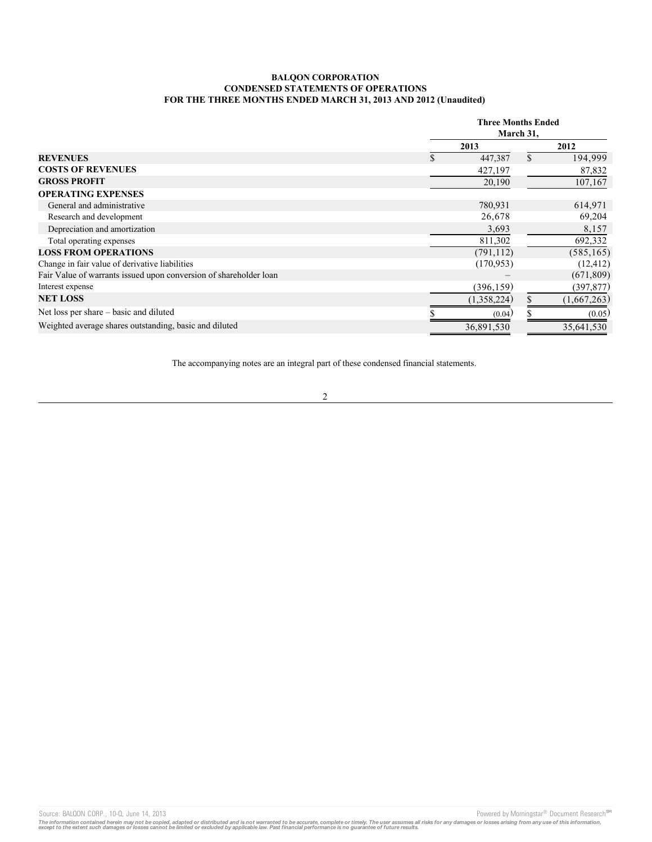#### **BALQON CORPORATION CONDENSED STATEMENTS OF OPERATIONS FOR THE THREE MONTHS ENDED MARCH 31, 2013 AND 2012 (Unaudited)**

|                                                                   |   | <b>Three Months Ended</b><br>March 31, |      |             |  |
|-------------------------------------------------------------------|---|----------------------------------------|------|-------------|--|
|                                                                   |   | 2013                                   | 2012 |             |  |
| <b>REVENUES</b>                                                   | S | \$<br>447,387                          |      | 194,999     |  |
| <b>COSTS OF REVENUES</b>                                          |   | 427,197                                |      | 87,832      |  |
| <b>GROSS PROFIT</b>                                               |   | 20,190                                 |      | 107,167     |  |
| <b>OPERATING EXPENSES</b>                                         |   |                                        |      |             |  |
| General and administrative                                        |   | 780,931                                |      | 614,971     |  |
| Research and development                                          |   | 26,678                                 |      | 69,204      |  |
| Depreciation and amortization                                     |   | 3,693                                  |      | 8,157       |  |
| Total operating expenses                                          |   | 811,302                                |      | 692,332     |  |
| <b>LOSS FROM OPERATIONS</b>                                       |   | (791, 112)                             |      | (585, 165)  |  |
| Change in fair value of derivative liabilities                    |   | (170, 953)                             |      | (12, 412)   |  |
| Fair Value of warrants issued upon conversion of shareholder loan |   |                                        |      | (671, 809)  |  |
| Interest expense                                                  |   | (396, 159)                             |      | (397, 877)  |  |
| <b>NET LOSS</b>                                                   |   | (1,358,224)                            |      | (1,667,263) |  |
| Net loss per share - basic and diluted                            |   | (0.04)                                 |      | (0.05)      |  |
| Weighted average shares outstanding, basic and diluted            |   | 36,891,530                             |      | 35,641,530  |  |

The accompanying notes are an integral part of these condensed financial statements.

2

Source: BALQON CORP., 10-Q, June 14, 2013<br>The information contained herein may not be copied, adapted or distributed and is not warranted to be accurate, complete or timely. The user assumes all risks for any damages or lo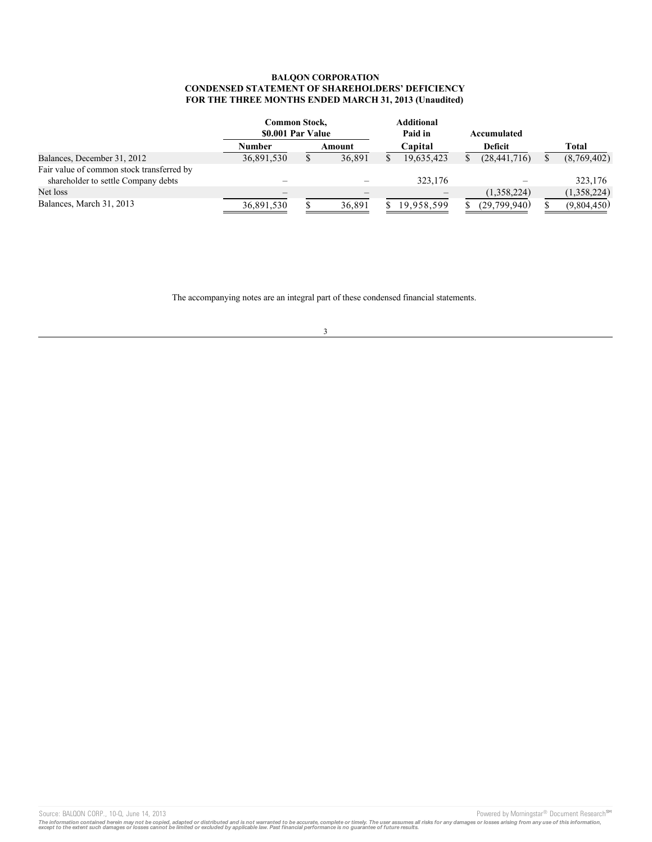## **BALQON CORPORATION CONDENSED STATEMENT OF SHAREHOLDERS' DEFICIENCY FOR THE THREE MONTHS ENDED MARCH 31, 2013 (Unaudited)**

|                                           | Common Stock,<br>\$0.001 Par Value |  |        | <b>Additional</b><br>Paid in |            |  | Accumulated    |  |             |
|-------------------------------------------|------------------------------------|--|--------|------------------------------|------------|--|----------------|--|-------------|
|                                           | Number                             |  | Amount |                              | Capital    |  | Deficit        |  | Total       |
| Balances, December 31, 2012               | 36,891,530                         |  | 36.891 |                              | 19,635,423 |  | (28, 441, 716) |  | (8,769,402) |
| Fair value of common stock transferred by |                                    |  |        |                              |            |  |                |  |             |
| shareholder to settle Company debts       |                                    |  |        |                              | 323,176    |  |                |  | 323,176     |
| Net loss                                  |                                    |  |        |                              |            |  | (1,358,224)    |  | (1,358,224) |
| Balances, March 31, 2013                  | 36,891,530                         |  | 36.891 |                              | 19.958.599 |  | (29, 799, 940) |  | (9,804,450) |

The accompanying notes are an integral part of these condensed financial statements.

Source: BALQON CORP., 10-Q, June 14, 2013<br>The information contained herein may not be copied, adapted or distributed and is not warranted to be accurate, complete or timely. The user assumes all risks for any damages or lo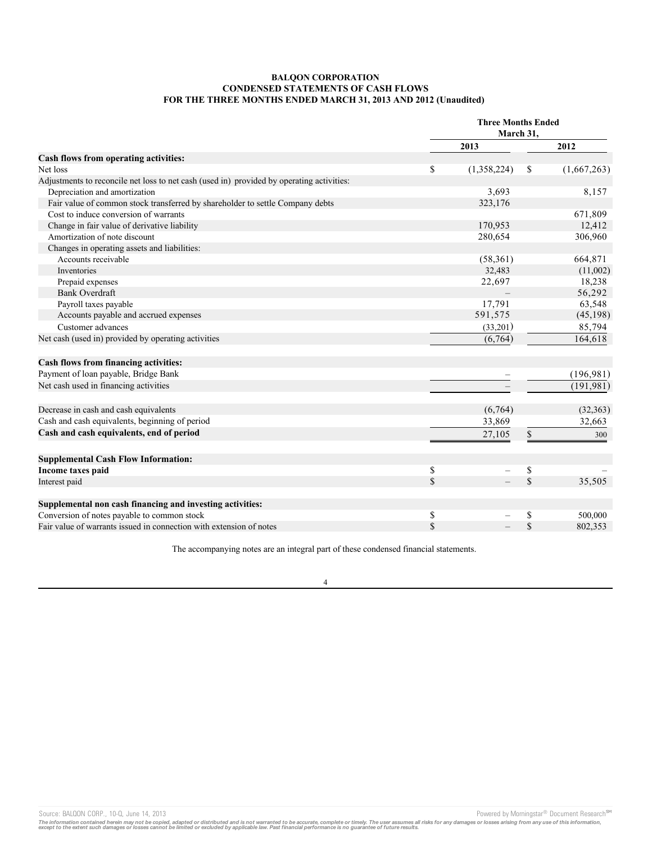#### **BALQON CORPORATION CONDENSED STATEMENTS OF CASH FLOWS FOR THE THREE MONTHS ENDED MARCH 31, 2013 AND 2012 (Unaudited)**

|                                                                                           | <b>Three Months Ended</b><br>March 31,                                |             |    |             |
|-------------------------------------------------------------------------------------------|-----------------------------------------------------------------------|-------------|----|-------------|
|                                                                                           |                                                                       | 2013        |    | 2012        |
| Cash flows from operating activities:                                                     |                                                                       |             |    |             |
| Net loss                                                                                  | \$                                                                    | (1,358,224) | \$ | (1,667,263) |
| Adjustments to reconcile net loss to net cash (used in) provided by operating activities: |                                                                       |             |    |             |
| Depreciation and amortization                                                             |                                                                       | 3,693       |    | 8,157       |
| Fair value of common stock transferred by shareholder to settle Company debts             |                                                                       | 323,176     |    |             |
| Cost to induce conversion of warrants                                                     |                                                                       |             |    | 671,809     |
| Change in fair value of derivative liability                                              |                                                                       | 170,953     |    | 12,412      |
| Amortization of note discount                                                             |                                                                       | 280,654     |    | 306,960     |
| Changes in operating assets and liabilities:                                              |                                                                       |             |    |             |
| Accounts receivable                                                                       |                                                                       | (58, 361)   |    | 664,871     |
| Inventories                                                                               |                                                                       | 32,483      |    | (11,002)    |
| Prepaid expenses                                                                          |                                                                       | 22,697      |    | 18,238      |
| <b>Bank Overdraft</b>                                                                     |                                                                       |             |    | 56,292      |
| Payroll taxes payable                                                                     |                                                                       | 17,791      |    | 63,548      |
| Accounts payable and accrued expenses                                                     |                                                                       | 591,575     |    | (45, 198)   |
| Customer advances                                                                         |                                                                       | (33,201)    |    | 85,794      |
| Net cash (used in) provided by operating activities                                       |                                                                       | (6,764)     |    | 164,618     |
| Cash flows from financing activities:                                                     |                                                                       |             |    |             |
| Payment of loan payable, Bridge Bank                                                      |                                                                       |             |    | (196, 981)  |
| Net cash used in financing activities                                                     |                                                                       |             |    | (191, 981)  |
| Decrease in cash and cash equivalents                                                     |                                                                       | (6,764)     |    | (32, 363)   |
| Cash and cash equivalents, beginning of period                                            |                                                                       | 33,869      |    | 32,663      |
| Cash and cash equivalents, end of period                                                  |                                                                       | 27,105      | \$ | 300         |
| <b>Supplemental Cash Flow Information:</b>                                                |                                                                       |             |    |             |
| Income taxes paid                                                                         | $\mathbb{S}% _{t}\left( t\right) \equiv\mathbb{S}_{t}\left( t\right)$ |             | \$ |             |
| Interest paid                                                                             | \$                                                                    |             | \$ | 35,505      |
|                                                                                           |                                                                       |             |    |             |
| Supplemental non cash financing and investing activities:                                 |                                                                       |             |    |             |
| Conversion of notes payable to common stock                                               | $\mathbb S$                                                           |             | \$ | 500,000     |
| Fair value of warrants issued in connection with extension of notes                       | \$                                                                    |             | \$ | 802,353     |

The accompanying notes are an integral part of these condensed financial statements.

4

Source: BALQON CORP., 10-Q, June 14, 2013<br>The information contained herein may not be copied, adapted or distributed and is not warranted to be accurate, complete or timely. The user assumes all risks for any damages or lo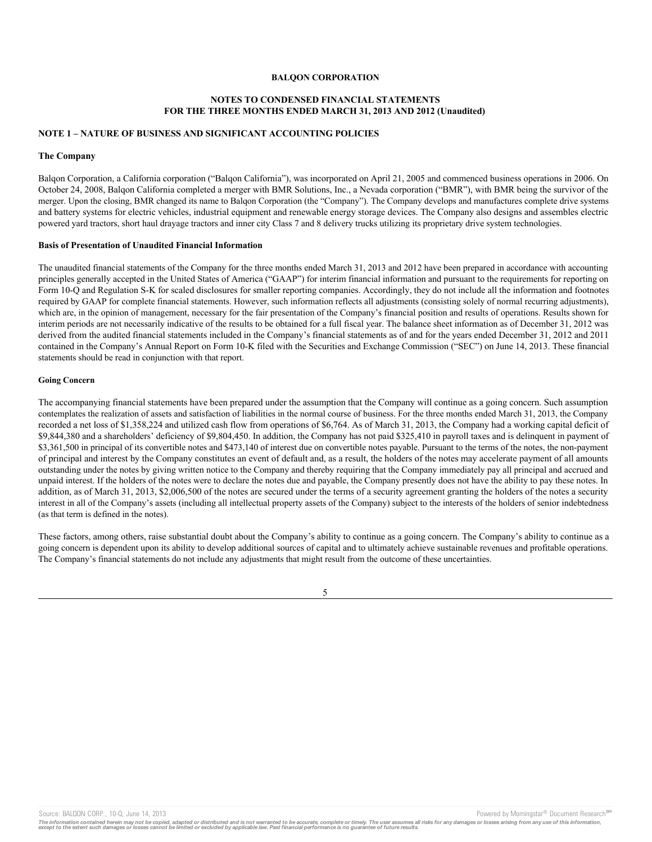## **NOTES TO CONDENSED FINANCIAL STATEMENTS FOR THE THREE MONTHS ENDED MARCH 31, 2013 AND 2012 (Unaudited)**

### **NOTE 1 – NATURE OF BUSINESS AND SIGNIFICANT ACCOUNTING POLICIES**

#### **The Company**

Balqon Corporation, a California corporation ("Balqon California"), was incorporated on April 21, 2005 and commenced business operations in 2006. On October 24, 2008, Balqon California completed a merger with BMR Solutions, Inc., a Nevada corporation ("BMR"), with BMR being the survivor of the merger. Upon the closing, BMR changed its name to Balqon Corporation (the "Company"). The Company develops and manufactures complete drive systems and battery systems for electric vehicles, industrial equipment and renewable energy storage devices. The Company also designs and assembles electric powered yard tractors, short haul drayage tractors and inner city Class 7 and 8 delivery trucks utilizing its proprietary drive system technologies.

#### **Basis of Presentation of Unaudited Financial Information**

The unaudited financial statements of the Company for the three months ended March 31, 2013 and 2012 have been prepared in accordance with accounting principles generally accepted in the United States of America ("GAAP") for interim financial information and pursuant to the requirements for reporting on Form 10-Q and Regulation S-K for scaled disclosures for smaller reporting companies. Accordingly, they do not include all the information and footnotes required by GAAP for complete financial statements. However, such information reflects all adjustments (consisting solely of normal recurring adjustments), which are, in the opinion of management, necessary for the fair presentation of the Company's financial position and results of operations. Results shown for interim periods are not necessarily indicative of the results to be obtained for a full fiscal year. The balance sheet information as of December 31, 2012 was derived from the audited financial statements included in the Company's financial statements as of and for the years ended December 31, 2012 and 2011 contained in the Company's Annual Report on Form 10-K filed with the Securities and Exchange Commission ("SEC") on June 14, 2013. These financial statements should be read in conjunction with that report.

#### **Going Concern**

The accompanying financial statements have been prepared under the assumption that the Company will continue as a going concern. Such assumption contemplates the realization of assets and satisfaction of liabilities in the normal course of business. For the three months ended March 31, 2013, the Company recorded a net loss of \$1,358,224 and utilized cash flow from operations of \$6,764. As of March 31, 2013, the Company had a working capital deficit of \$9,844,380 and a shareholders' deficiency of \$9,804,450. In addition, the Company has not paid \$325,410 in payroll taxes and is delinquent in payment of \$3,361,500 in principal of its convertible notes and \$473,140 of interest due on convertible notes payable. Pursuant to the terms of the notes, the non-payment of principal and interest by the Company constitutes an event of default and, as a result, the holders of the notes may accelerate payment of all amounts outstanding under the notes by giving written notice to the Company and thereby requiring that the Company immediately pay all principal and accrued and unpaid interest. If the holders of the notes were to declare the notes due and payable, the Company presently does not have the ability to pay these notes. In addition, as of March 31, 2013, \$2,006,500 of the notes are secured under the terms of a security agreement granting the holders of the notes a security interest in all of the Company's assets (including all intellectual property assets of the Company) subject to the interests of the holders of senior indebtedness (as that term is defined in the notes).

These factors, among others, raise substantial doubt about the Company's ability to continue as a going concern. The Company's ability to continue as a going concern is dependent upon its ability to develop additional sources of capital and to ultimately achieve sustainable revenues and profitable operations. The Company's financial statements do not include any adjustments that might result from the outcome of these uncertainties.



Source: BALQON CORP., 10-Q, June 14, 2013 **Powered by Morningstar® Document Research** and the second product and the second product and the second product and the second product and the second product and the second produc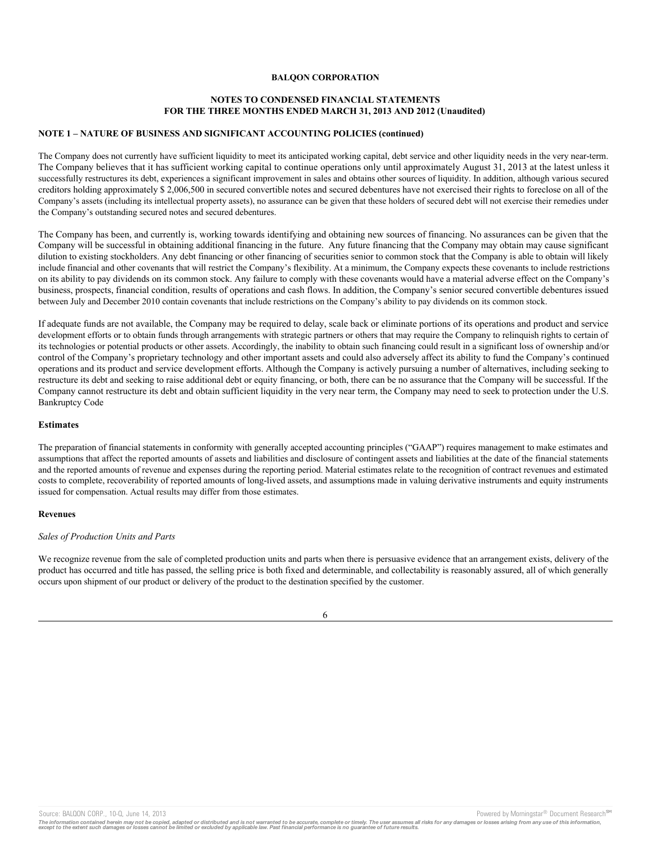## **NOTES TO CONDENSED FINANCIAL STATEMENTS FOR THE THREE MONTHS ENDED MARCH 31, 2013 AND 2012 (Unaudited)**

### **NOTE 1 – NATURE OF BUSINESS AND SIGNIFICANT ACCOUNTING POLICIES (continued)**

The Company does not currently have sufficient liquidity to meet its anticipated working capital, debt service and other liquidity needs in the very near-term. The Company believes that it has sufficient working capital to continue operations only until approximately August 31, 2013 at the latest unless it successfully restructures its debt, experiences a significant improvement in sales and obtains other sources of liquidity. In addition, although various secured creditors holding approximately \$ 2,006,500 in secured convertible notes and secured debentures have not exercised their rights to foreclose on all of the Company's assets (including its intellectual property assets), no assurance can be given that these holders of secured debt will not exercise their remedies under the Company's outstanding secured notes and secured debentures.

The Company has been, and currently is, working towards identifying and obtaining new sources of financing. No assurances can be given that the Company will be successful in obtaining additional financing in the future. Any future financing that the Company may obtain may cause significant dilution to existing stockholders. Any debt financing or other financing of securities senior to common stock that the Company is able to obtain will likely include financial and other covenants that will restrict the Company's flexibility. At a minimum, the Company expects these covenants to include restrictions on its ability to pay dividends on its common stock. Any failure to comply with these covenants would have a material adverse effect on the Company's business, prospects, financial condition, results of operations and cash flows. In addition, the Company's senior secured convertible debentures issued between July and December 2010 contain covenants that include restrictions on the Company's ability to pay dividends on its common stock.

If adequate funds are not available, the Company may be required to delay, scale back or eliminate portions of its operations and product and service development efforts or to obtain funds through arrangements with strategic partners or others that may require the Company to relinquish rights to certain of its technologies or potential products or other assets. Accordingly, the inability to obtain such financing could result in a significant loss of ownership and/or control of the Company's proprietary technology and other important assets and could also adversely affect its ability to fund the Company's continued operations and its product and service development efforts. Although the Company is actively pursuing a number of alternatives, including seeking to restructure its debt and seeking to raise additional debt or equity financing, or both, there can be no assurance that the Company will be successful. If the Company cannot restructure its debt and obtain sufficient liquidity in the very near term, the Company may need to seek to protection under the U.S. Bankruptcy Code

#### **Estimates**

The preparation of financial statements in conformity with generally accepted accounting principles ("GAAP") requires management to make estimates and assumptions that affect the reported amounts of assets and liabilities and disclosure of contingent assets and liabilities at the date of the financial statements and the reported amounts of revenue and expenses during the reporting period. Material estimates relate to the recognition of contract revenues and estimated costs to complete, recoverability of reported amounts of long-lived assets, and assumptions made in valuing derivative instruments and equity instruments issued for compensation. Actual results may differ from those estimates.

#### **Revenues**

### *Sales of Production Units and Parts*

We recognize revenue from the sale of completed production units and parts when there is persuasive evidence that an arrangement exists, delivery of the product has occurred and title has passed, the selling price is both fixed and determinable, and collectability is reasonably assured, all of which generally occurs upon shipment of our product or delivery of the product to the destination specified by the customer.

Source: BALQON CORP., 10-Q, June 14, 2013 **Powered by Morningstar® Document Research** and the second product and the second product and the second product and the second product and the second product and the second produc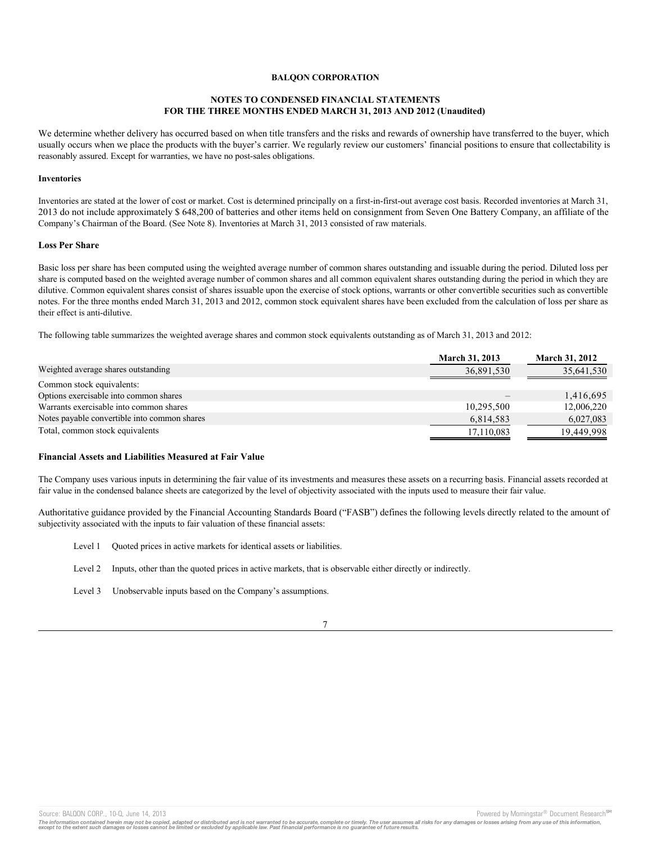## **NOTES TO CONDENSED FINANCIAL STATEMENTS FOR THE THREE MONTHS ENDED MARCH 31, 2013 AND 2012 (Unaudited)**

We determine whether delivery has occurred based on when title transfers and the risks and rewards of ownership have transferred to the buyer, which usually occurs when we place the products with the buyer's carrier. We regularly review our customers' financial positions to ensure that collectability is reasonably assured. Except for warranties, we have no post-sales obligations.

#### **Inventories**

Inventories are stated at the lower of cost or market. Cost is determined principally on a first-in-first-out average cost basis. Recorded inventories at March 31, 2013 do not include approximately \$ 648,200 of batteries and other items held on consignment from Seven One Battery Company, an affiliate of the Company's Chairman of the Board. (See Note 8). Inventories at March 31, 2013 consisted of raw materials.

### **Loss Per Share**

Basic loss per share has been computed using the weighted average number of common shares outstanding and issuable during the period. Diluted loss per share is computed based on the weighted average number of common shares and all common equivalent shares outstanding during the period in which they are dilutive. Common equivalent shares consist of shares issuable upon the exercise of stock options, warrants or other convertible securities such as convertible notes. For the three months ended March 31, 2013 and 2012, common stock equivalent shares have been excluded from the calculation of loss per share as their effect is anti-dilutive.

The following table summarizes the weighted average shares and common stock equivalents outstanding as of March 31, 2013 and 2012:

|                                              | <b>March 31, 2013</b> | <b>March 31, 2012</b> |
|----------------------------------------------|-----------------------|-----------------------|
| Weighted average shares outstanding          | 36,891,530            | 35,641,530            |
| Common stock equivalents:                    |                       |                       |
| Options exercisable into common shares       |                       | 1,416,695             |
| Warrants exercisable into common shares      | 10,295,500            | 12,006,220            |
| Notes payable convertible into common shares | 6,814,583             | 6,027,083             |
| Total, common stock equivalents              | 17,110,083            | 19,449,998            |

## **Financial Assets and Liabilities Measured at Fair Value**

The Company uses various inputs in determining the fair value of its investments and measures these assets on a recurring basis. Financial assets recorded at fair value in the condensed balance sheets are categorized by the level of objectivity associated with the inputs used to measure their fair value.

Authoritative guidance provided by the Financial Accounting Standards Board ("FASB") defines the following levels directly related to the amount of subjectivity associated with the inputs to fair valuation of these financial assets:

- Level 1 Quoted prices in active markets for identical assets or liabilities.
- Level 2 Inputs, other than the quoted prices in active markets, that is observable either directly or indirectly.
- Level 3 Unobservable inputs based on the Company's assumptions.

Source: BALQON CORP., 10-Q, June 14, 2013 **Powered by Morningstar® Document Research** in Powered by Morningstar® Document Research in

The information contained herein may not be copied, adapted or distributed and is not warranted to be accurate, complete or timely. The user assumes all risks for any damages or losses arising from any use of this informat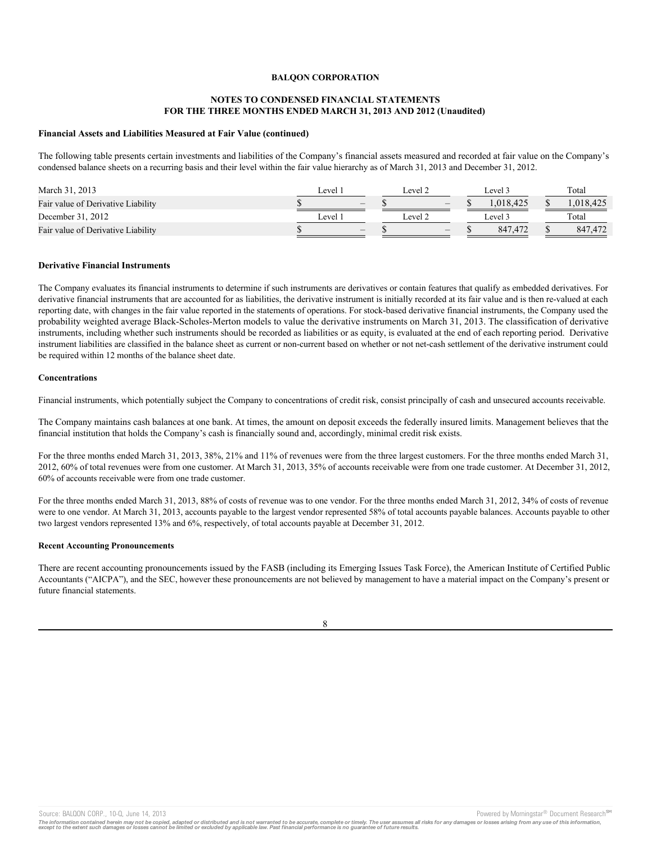## **NOTES TO CONDENSED FINANCIAL STATEMENTS FOR THE THREE MONTHS ENDED MARCH 31, 2013 AND 2012 (Unaudited)**

#### **Financial Assets and Liabilities Measured at Fair Value (continued)**

The following table presents certain investments and liabilities of the Company's financial assets measured and recorded at fair value on the Company's condensed balance sheets on a recurring basis and their level within the fair value hierarchy as of March 31, 2013 and December 31, 2012.

| March 31, 2013                     | Level             | Level 2 |  | evel 3  | Total   |
|------------------------------------|-------------------|---------|--|---------|---------|
| Fair value of Derivative Liability | $\qquad \qquad -$ |         |  | 018,425 |         |
| December 31, 2012                  | Level             | [evel]  |  | evel 3  | Total   |
| Fair value of Derivative Liability | $\qquad \qquad -$ |         |  | 847.472 | 847,472 |

### **Derivative Financial Instruments**

The Company evaluates its financial instruments to determine if such instruments are derivatives or contain features that qualify as embedded derivatives. For derivative financial instruments that are accounted for as liabilities, the derivative instrument is initially recorded at its fair value and is then re-valued at each reporting date, with changes in the fair value reported in the statements of operations. For stock-based derivative financial instruments, the Company used the probability weighted average Black-Scholes-Merton models to value the derivative instruments on March 31, 2013. The classification of derivative instruments, including whether such instruments should be recorded as liabilities or as equity, is evaluated at the end of each reporting period. Derivative instrument liabilities are classified in the balance sheet as current or non-current based on whether or not net-cash settlement of the derivative instrument could be required within 12 months of the balance sheet date.

#### **Concentrations**

Financial instruments, which potentially subject the Company to concentrations of credit risk, consist principally of cash and unsecured accounts receivable.

The Company maintains cash balances at one bank. At times, the amount on deposit exceeds the federally insured limits. Management believes that the financial institution that holds the Company's cash is financially sound and, accordingly, minimal credit risk exists.

For the three months ended March 31, 2013, 38%, 21% and 11% of revenues were from the three largest customers. For the three months ended March 31, 2012, 60% of total revenues were from one customer. At March 31, 2013, 35% of accounts receivable were from one trade customer. At December 31, 2012, 60% of accounts receivable were from one trade customer.

For the three months ended March 31, 2013, 88% of costs of revenue was to one vendor. For the three months ended March 31, 2012, 34% of costs of revenue were to one vendor. At March 31, 2013, accounts payable to the largest vendor represented 58% of total accounts payable balances. Accounts payable to other two largest vendors represented 13% and 6%, respectively, of total accounts payable at December 31, 2012.

# **Recent Accounting Pronouncements**

There are recent accounting pronouncements issued by the FASB (including its Emerging Issues Task Force), the American Institute of Certified Public Accountants ("AICPA"), and the SEC, however these pronouncements are not believed by management to have a material impact on the Company's present or future financial statements.

Source: BALQON CORP., 10-Q, June 14, 2013 **Powered by Morningstar® Document Research** and the second product and the second product and the second product and the second product and the second product and the second produc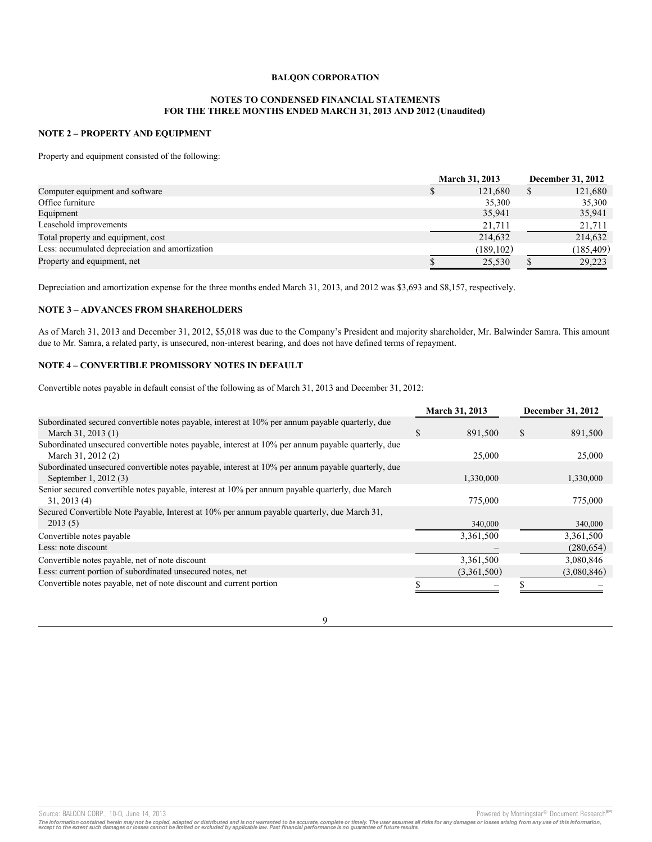## **NOTES TO CONDENSED FINANCIAL STATEMENTS FOR THE THREE MONTHS ENDED MARCH 31, 2013 AND 2012 (Unaudited)**

## **NOTE 2 – PROPERTY AND EQUIPMENT**

Property and equipment consisted of the following:

|                                                 | March 31, 2013 |            | December 31, 2012 |
|-------------------------------------------------|----------------|------------|-------------------|
| Computer equipment and software                 |                | 121,680    | 121,680           |
| Office furniture                                |                | 35,300     | 35,300            |
| Equipment                                       |                | 35,941     | 35,941            |
| Leasehold improvements                          |                | 21,711     | 21,711            |
| Total property and equipment, cost              |                | 214,632    | 214,632           |
| Less: accumulated depreciation and amortization |                | (189, 102) | (185, 409)        |
| Property and equipment, net                     |                | 25,530     | 29,223            |

Depreciation and amortization expense for the three months ended March 31, 2013, and 2012 was \$3,693 and \$8,157, respectively.

## **NOTE 3 – ADVANCES FROM SHAREHOLDERS**

As of March 31, 2013 and December 31, 2012, \$5,018 was due to the Company's President and majority shareholder, Mr. Balwinder Samra. This amount due to Mr. Samra, a related party, is unsecured, non-interest bearing, and does not have defined terms of repayment.

### **NOTE 4 – CONVERTIBLE PROMISSORY NOTES IN DEFAULT**

Convertible notes payable in default consist of the following as of March 31, 2013 and December 31, 2012:

|                                                                                                                             | March 31, 2013 | December 31, 2012 |             |  |
|-----------------------------------------------------------------------------------------------------------------------------|----------------|-------------------|-------------|--|
| Subordinated secured convertible notes payable, interest at 10% per annum payable quarterly, due<br>March 31, 2013 (1)      | 891,500        | \$                | 891,500     |  |
| Subordinated unsecured convertible notes payable, interest at 10% per annum payable quarterly, due<br>March 31, 2012 (2)    | 25,000         |                   | 25,000      |  |
| Subordinated unsecured convertible notes payable, interest at 10% per annum payable quarterly, due<br>September 1, 2012 (3) | 1,330,000      |                   | 1,330,000   |  |
| Senior secured convertible notes payable, interest at 10% per annum payable quarterly, due March<br>31, 2013(4)             | 775,000        |                   | 775,000     |  |
| Secured Convertible Note Payable, Interest at 10% per annum payable quarterly, due March 31,<br>2013(5)                     | 340,000        |                   | 340,000     |  |
| Convertible notes payable                                                                                                   | 3,361,500      |                   | 3,361,500   |  |
| Less: note discount                                                                                                         |                |                   | (280, 654)  |  |
| Convertible notes payable, net of note discount                                                                             | 3,361,500      |                   | 3,080,846   |  |
| Less: current portion of subordinated unsecured notes, net                                                                  | (3,361,500)    |                   | (3,080,846) |  |
| Convertible notes payable, net of note discount and current portion                                                         |                |                   |             |  |

Source: BALQON CORP., 10-Q, June 14, 2013 **Powered by Morningstar<sup>®</sup>** Document Research<sup>®M</sup>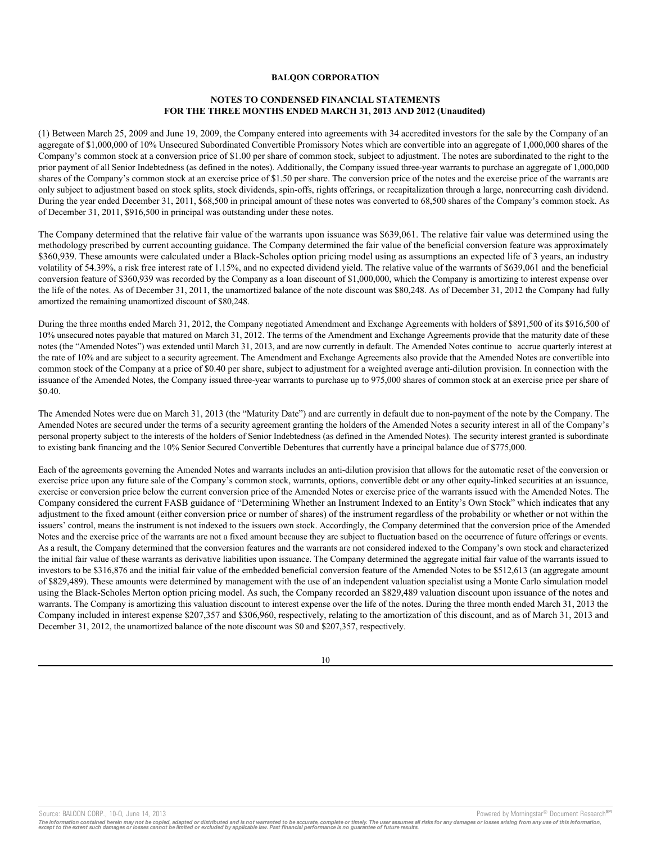## **NOTES TO CONDENSED FINANCIAL STATEMENTS FOR THE THREE MONTHS ENDED MARCH 31, 2013 AND 2012 (Unaudited)**

(1) Between March 25, 2009 and June 19, 2009, the Company entered into agreements with 34 accredited investors for the sale by the Company of an aggregate of \$1,000,000 of 10% Unsecured Subordinated Convertible Promissory Notes which are convertible into an aggregate of 1,000,000 shares of the Company's common stock at a conversion price of \$1.00 per share of common stock, subject to adjustment. The notes are subordinated to the right to the prior payment of all Senior Indebtedness (as defined in the notes). Additionally, the Company issued three-year warrants to purchase an aggregate of 1,000,000 shares of the Company's common stock at an exercise price of \$1.50 per share. The conversion price of the notes and the exercise price of the warrants are only subject to adjustment based on stock splits, stock dividends, spin-offs, rights offerings, or recapitalization through a large, nonrecurring cash dividend. During the year ended December 31, 2011, \$68,500 in principal amount of these notes was converted to 68,500 shares of the Company's common stock. As of December 31, 2011, \$916,500 in principal was outstanding under these notes.

The Company determined that the relative fair value of the warrants upon issuance was \$639,061. The relative fair value was determined using the methodology prescribed by current accounting guidance. The Company determined the fair value of the beneficial conversion feature was approximately \$360,939. These amounts were calculated under a Black-Scholes option pricing model using as assumptions an expected life of 3 years, an industry volatility of 54.39%, a risk free interest rate of 1.15%, and no expected dividend yield. The relative value of the warrants of \$639,061 and the beneficial conversion feature of \$360,939 was recorded by the Company as a loan discount of \$1,000,000, which the Company is amortizing to interest expense over the life of the notes. As of December 31, 2011, the unamortized balance of the note discount was \$80,248. As of December 31, 2012 the Company had fully amortized the remaining unamortized discount of \$80,248.

During the three months ended March 31, 2012, the Company negotiated Amendment and Exchange Agreements with holders of \$891,500 of its \$916,500 of 10% unsecured notes payable that matured on March 31, 2012. The terms of the Amendment and Exchange Agreements provide that the maturity date of these notes (the "Amended Notes") was extended until March 31, 2013, and are now currently in default. The Amended Notes continue to accrue quarterly interest at the rate of 10% and are subject to a security agreement. The Amendment and Exchange Agreements also provide that the Amended Notes are convertible into common stock of the Company at a price of \$0.40 per share, subject to adjustment for a weighted average anti-dilution provision. In connection with the issuance of the Amended Notes, the Company issued three-year warrants to purchase up to 975,000 shares of common stock at an exercise price per share of \$0.40.

The Amended Notes were due on March 31, 2013 (the "Maturity Date") and are currently in default due to non-payment of the note by the Company. The Amended Notes are secured under the terms of a security agreement granting the holders of the Amended Notes a security interest in all of the Company's personal property subject to the interests of the holders of Senior Indebtedness (as defined in the Amended Notes). The security interest granted is subordinate to existing bank financing and the 10% Senior Secured Convertible Debentures that currently have a principal balance due of \$775,000.

Each of the agreements governing the Amended Notes and warrants includes an anti-dilution provision that allows for the automatic reset of the conversion or exercise price upon any future sale of the Company's common stock, warrants, options, convertible debt or any other equity-linked securities at an issuance, exercise or conversion price below the current conversion price of the Amended Notes or exercise price of the warrants issued with the Amended Notes. The Company considered the current FASB guidance of "Determining Whether an Instrument Indexed to an Entity's Own Stock" which indicates that any adjustment to the fixed amount (either conversion price or number of shares) of the instrument regardless of the probability or whether or not within the issuers' control, means the instrument is not indexed to the issuers own stock. Accordingly, the Company determined that the conversion price of the Amended Notes and the exercise price of the warrants are not a fixed amount because they are subject to fluctuation based on the occurrence of future offerings or events. As a result, the Company determined that the conversion features and the warrants are not considered indexed to the Company's own stock and characterized the initial fair value of these warrants as derivative liabilities upon issuance. The Company determined the aggregate initial fair value of the warrants issued to investors to be \$316,876 and the initial fair value of the embedded beneficial conversion feature of the Amended Notes to be \$512,613 (an aggregate amount of \$829,489). These amounts were determined by management with the use of an independent valuation specialist using a Monte Carlo simulation model using the Black-Scholes Merton option pricing model. As such, the Company recorded an \$829,489 valuation discount upon issuance of the notes and warrants. The Company is amortizing this valuation discount to interest expense over the life of the notes. During the three month ended March 31, 2013 the Company included in interest expense \$207,357 and \$306,960, respectively, relating to the amortization of this discount, and as of March 31, 2013 and December 31, 2012, the unamortized balance of the note discount was \$0 and \$207,357, respectively.



Source: BALQON CORP., 10-Q, June 14, 2013 **Powered by Morningstar<sup>®</sup> Document Research<sup>SM</sup>** 

The information contained herein may not be copied, adapted or distributed and is not warranted to be accurate, complete or timely. The user assumes all risks for any damages or losses arising from any use of this informat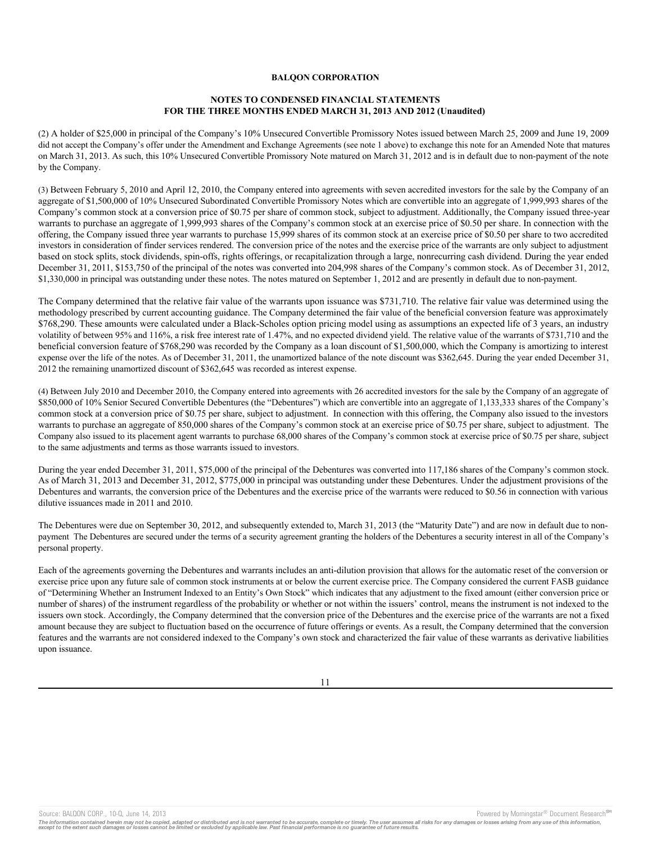## **NOTES TO CONDENSED FINANCIAL STATEMENTS FOR THE THREE MONTHS ENDED MARCH 31, 2013 AND 2012 (Unaudited)**

(2) A holder of \$25,000 in principal of the Company's 10% Unsecured Convertible Promissory Notes issued between March 25, 2009 and June 19, 2009 did not accept the Company's offer under the Amendment and Exchange Agreements (see note 1 above) to exchange this note for an Amended Note that matures on March 31, 2013. As such, this 10% Unsecured Convertible Promissory Note matured on March 31, 2012 and is in default due to non-payment of the note by the Company.

(3) Between February 5, 2010 and April 12, 2010, the Company entered into agreements with seven accredited investors for the sale by the Company of an aggregate of \$1,500,000 of 10% Unsecured Subordinated Convertible Promissory Notes which are convertible into an aggregate of 1,999,993 shares of the Company's common stock at a conversion price of \$0.75 per share of common stock, subject to adjustment. Additionally, the Company issued three-year warrants to purchase an aggregate of 1,999,993 shares of the Company's common stock at an exercise price of \$0.50 per share. In connection with the offering, the Company issued three year warrants to purchase 15,999 shares of its common stock at an exercise price of \$0.50 per share to two accredited investors in consideration of finder services rendered. The conversion price of the notes and the exercise price of the warrants are only subject to adjustment based on stock splits, stock dividends, spin-offs, rights offerings, or recapitalization through a large, nonrecurring cash dividend. During the year ended December 31, 2011, \$153,750 of the principal of the notes was converted into 204,998 shares of the Company's common stock. As of December 31, 2012, \$1,330,000 in principal was outstanding under these notes. The notes matured on September 1, 2012 and are presently in default due to non-payment.

The Company determined that the relative fair value of the warrants upon issuance was \$731,710. The relative fair value was determined using the methodology prescribed by current accounting guidance. The Company determined the fair value of the beneficial conversion feature was approximately \$768,290. These amounts were calculated under a Black-Scholes option pricing model using as assumptions an expected life of 3 years, an industry volatility of between 95% and 116%, a risk free interest rate of 1.47%, and no expected dividend yield. The relative value of the warrants of \$731,710 and the beneficial conversion feature of \$768,290 was recorded by the Company as a loan discount of \$1,500,000, which the Company is amortizing to interest expense over the life of the notes. As of December 31, 2011, the unamortized balance of the note discount was \$362,645. During the year ended December 31, 2012 the remaining unamortized discount of \$362,645 was recorded as interest expense.

(4) Between July 2010 and December 2010, the Company entered into agreements with 26 accredited investors for the sale by the Company of an aggregate of \$850,000 of 10% Senior Secured Convertible Debentures (the "Debentures") which are convertible into an aggregate of 1,133,333 shares of the Company's common stock at a conversion price of \$0.75 per share, subject to adjustment. In connection with this offering, the Company also issued to the investors warrants to purchase an aggregate of 850,000 shares of the Company's common stock at an exercise price of \$0.75 per share, subject to adjustment. The Company also issued to its placement agent warrants to purchase 68,000 shares of the Company's common stock at exercise price of \$0.75 per share, subject to the same adjustments and terms as those warrants issued to investors.

During the year ended December 31, 2011, \$75,000 of the principal of the Debentures was converted into 117,186 shares of the Company's common stock. As of March 31, 2013 and December 31, 2012, \$775,000 in principal was outstanding under these Debentures. Under the adjustment provisions of the Debentures and warrants, the conversion price of the Debentures and the exercise price of the warrants were reduced to \$0.56 in connection with various dilutive issuances made in 2011 and 2010.

The Debentures were due on September 30, 2012, and subsequently extended to, March 31, 2013 (the "Maturity Date") and are now in default due to nonpayment The Debentures are secured under the terms of a security agreement granting the holders of the Debentures a security interest in all of the Company's personal property.

Each of the agreements governing the Debentures and warrants includes an anti-dilution provision that allows for the automatic reset of the conversion or exercise price upon any future sale of common stock instruments at or below the current exercise price. The Company considered the current FASB guidance of "Determining Whether an Instrument Indexed to an Entity's Own Stock" which indicates that any adjustment to the fixed amount (either conversion price or number of shares) of the instrument regardless of the probability or whether or not within the issuers' control, means the instrument is not indexed to the issuers own stock. Accordingly, the Company determined that the conversion price of the Debentures and the exercise price of the warrants are not a fixed amount because they are subject to fluctuation based on the occurrence of future offerings or events. As a result, the Company determined that the conversion features and the warrants are not considered indexed to the Company's own stock and characterized the fair value of these warrants as derivative liabilities upon issuance.

Source: BALQON CORP., 10-Q, June 14, 2013 **Powered by Morningstar® Document Research** <sup>sm</sup>

The information contained herein may not be copied, adapted or distributed and is not warranted to be accurate, complete or timely. The user assumes all risks for any damages or losses arising from any use of this informat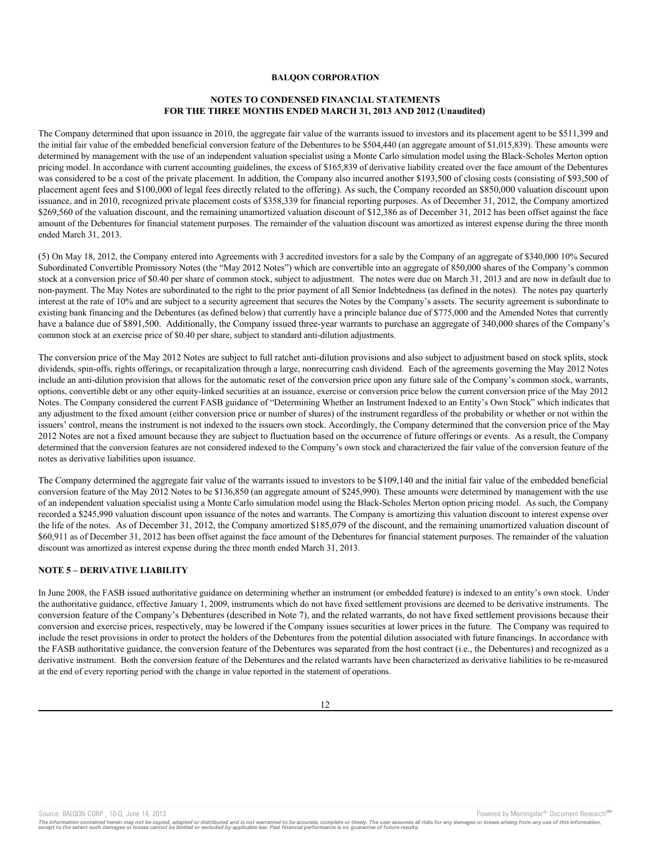## **NOTES TO CONDENSED FINANCIAL STATEMENTS FOR THE THREE MONTHS ENDED MARCH 31, 2013 AND 2012 (Unaudited)**

The Company determined that upon issuance in 2010, the aggregate fair value of the warrants issued to investors and its placement agent to be \$511,399 and the initial fair value of the embedded beneficial conversion feature of the Debentures to be \$504,440 (an aggregate amount of \$1,015,839). These amounts were determined by management with the use of an independent valuation specialist using a Monte Carlo simulation model using the Black-Scholes Merton option pricing model. In accordance with current accounting guidelines, the excess of \$165,839 of derivative liability created over the face amount of the Debentures was considered to be a cost of the private placement. In addition, the Company also incurred another \$193,500 of closing costs (consisting of \$93,500 of placement agent fees and \$100,000 of legal fees directly related to the offering). As such, the Company recorded an \$850,000 valuation discount upon issuance, and in 2010, recognized private placement costs of \$358,339 for financial reporting purposes. As of December 31, 2012, the Company amortized \$269,560 of the valuation discount, and the remaining unamortized valuation discount of \$12,386 as of December 31, 2012 has been offset against the face amount of the Debentures for financial statement purposes. The remainder of the valuation discount was amortized as interest expense during the three month ended March 31, 2013.

(5) On May 18, 2012, the Company entered into Agreements with 3 accredited investors for a sale by the Company of an aggregate of \$340,000 10% Secured Subordinated Convertible Promissory Notes (the "May 2012 Notes") which are convertible into an aggregate of 850,000 shares of the Company's common stock at a conversion price of \$0.40 per share of common stock, subject to adjustment. The notes were due on March 31, 2013 and are now in default due to non-payment. The May Notes are subordinated to the right to the prior payment of all Senior Indebtedness (as defined in the notes). The notes pay quarterly interest at the rate of 10% and are subject to a security agreement that secures the Notes by the Company's assets. The security agreement is subordinate to existing bank financing and the Debentures (as defined below) that currently have a principle balance due of \$775,000 and the Amended Notes that currently have a balance due of \$891,500. Additionally, the Company issued three-year warrants to purchase an aggregate of 340,000 shares of the Company's common stock at an exercise price of \$0.40 per share, subject to standard anti-dilution adjustments.

The conversion price of the May 2012 Notes are subject to full ratchet anti-dilution provisions and also subject to adjustment based on stock splits, stock dividends, spin-offs, rights offerings, or recapitalization through a large, nonrecurring cash dividend. Each of the agreements governing the May 2012 Notes include an anti-dilution provision that allows for the automatic reset of the conversion price upon any future sale of the Company's common stock, warrants, options, convertible debt or any other equity-linked securities at an issuance, exercise or conversion price below the current conversion price of the May 2012 Notes. The Company considered the current FASB guidance of "Determining Whether an Instrument Indexed to an Entity's Own Stock" which indicates that any adjustment to the fixed amount (either conversion price or number of shares) of the instrument regardless of the probability or whether or not within the issuers' control, means the instrument is not indexed to the issuers own stock. Accordingly, the Company determined that the conversion price of the May 2012 Notes are not a fixed amount because they are subject to fluctuation based on the occurrence of future offerings or events. As a result, the Company determined that the conversion features are not considered indexed to the Company's own stock and characterized the fair value of the conversion feature of the notes as derivative liabilities upon issuance.

The Company determined the aggregate fair value of the warrants issued to investors to be \$109,140 and the initial fair value of the embedded beneficial conversion feature of the May 2012 Notes to be \$136,850 (an aggregate amount of \$245,990). These amounts were determined by management with the use of an independent valuation specialist using a Monte Carlo simulation model using the Black-Scholes Merton option pricing model. As such, the Company recorded a \$245,990 valuation discount upon issuance of the notes and warrants. The Company is amortizing this valuation discount to interest expense over the life of the notes. As of December 31, 2012, the Company amortized \$185,079 of the discount, and the remaining unamortized valuation discount of \$60,911 as of December 31, 2012 has been offset against the face amount of the Debentures for financial statement purposes. The remainder of the valuation discount was amortized as interest expense during the three month ended March 31, 2013.

## **NOTE 5 – DERIVATIVE LIABILITY**

In June 2008, the FASB issued authoritative guidance on determining whether an instrument (or embedded feature) is indexed to an entity's own stock. Under the authoritative guidance, effective January 1, 2009, instruments which do not have fixed settlement provisions are deemed to be derivative instruments. The conversion feature of the Company's Debentures (described in Note 7), and the related warrants, do not have fixed settlement provisions because their conversion and exercise prices, respectively, may be lowered if the Company issues securities at lower prices in the future. The Company was required to include the reset provisions in order to protect the holders of the Debentures from the potential dilution associated with future financings. In accordance with the FASB authoritative guidance, the conversion feature of the Debentures was separated from the host contract (i.e., the Debentures) and recognized as a derivative instrument. Both the conversion feature of the Debentures and the related warrants have been characterized as derivative liabilities to be re-measured at the end of every reporting period with the change in value reported in the statement of operations.

Source: BALQON CORP., 10-Q, June 14, 2013 **Powered by Morningstar<sup>®</sup> Document Research<sup>SM</sup>**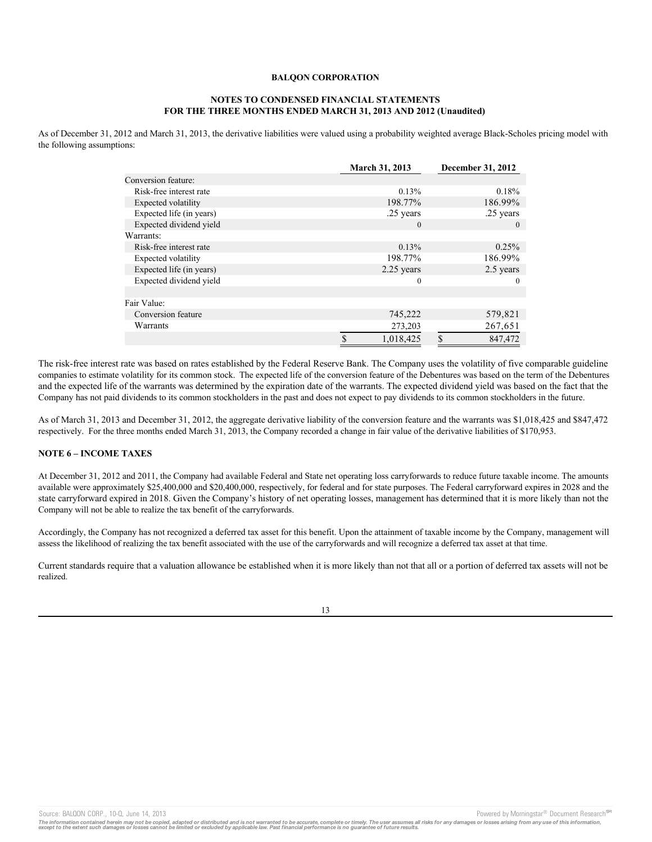## **NOTES TO CONDENSED FINANCIAL STATEMENTS FOR THE THREE MONTHS ENDED MARCH 31, 2013 AND 2012 (Unaudited)**

As of December 31, 2012 and March 31, 2013, the derivative liabilities were valued using a probability weighted average Black-Scholes pricing model with the following assumptions:

|                          | March 31, 2013  | December 31, 2012 |
|--------------------------|-----------------|-------------------|
| Conversion feature:      |                 |                   |
| Risk-free interest rate  | 0.13%           | 0.18%             |
| Expected volatility      | 198.77%         | 186.99%           |
| Expected life (in years) | .25 years       | .25 years         |
| Expected dividend yield  | $\mathbf{0}$    | $\theta$          |
| Warrants:                |                 |                   |
| Risk-free interest rate  | 0.13%           | $0.25\%$          |
| Expected volatility      | 198.77%         | 186.99%           |
| Expected life (in years) | 2.25 years      | 2.5 years         |
| Expected dividend yield  | $\theta$        | $\theta$          |
|                          |                 |                   |
| Fair Value:              |                 |                   |
| Conversion feature       | 745,222         | 579,821           |
| Warrants                 | 273,203         | 267,651           |
|                          | 1,018,425<br>\$ | \$<br>847,472     |

The risk-free interest rate was based on rates established by the Federal Reserve Bank. The Company uses the volatility of five comparable guideline companies to estimate volatility for its common stock. The expected life of the conversion feature of the Debentures was based on the term of the Debentures and the expected life of the warrants was determined by the expiration date of the warrants. The expected dividend yield was based on the fact that the Company has not paid dividends to its common stockholders in the past and does not expect to pay dividends to its common stockholders in the future.

As of March 31, 2013 and December 31, 2012, the aggregate derivative liability of the conversion feature and the warrants was \$1,018,425 and \$847,472 respectively. For the three months ended March 31, 2013, the Company recorded a change in fair value of the derivative liabilities of \$170,953.

## **NOTE 6 – INCOME TAXES**

At December 31, 2012 and 2011, the Company had available Federal and State net operating loss carryforwards to reduce future taxable income. The amounts available were approximately \$25,400,000 and \$20,400,000, respectively, for federal and for state purposes. The Federal carryforward expires in 2028 and the state carryforward expired in 2018. Given the Company's history of net operating losses, management has determined that it is more likely than not the Company will not be able to realize the tax benefit of the carryforwards.

Accordingly, the Company has not recognized a deferred tax asset for this benefit. Upon the attainment of taxable income by the Company, management will assess the likelihood of realizing the tax benefit associated with the use of the carryforwards and will recognize a deferred tax asset at that time.

Current standards require that a valuation allowance be established when it is more likely than not that all or a portion of deferred tax assets will not be realized.

Source: BALQON CORP., 10-Q, June 14, 2013 **Powered by Morningstar® Document Research** <sup>sm</sup>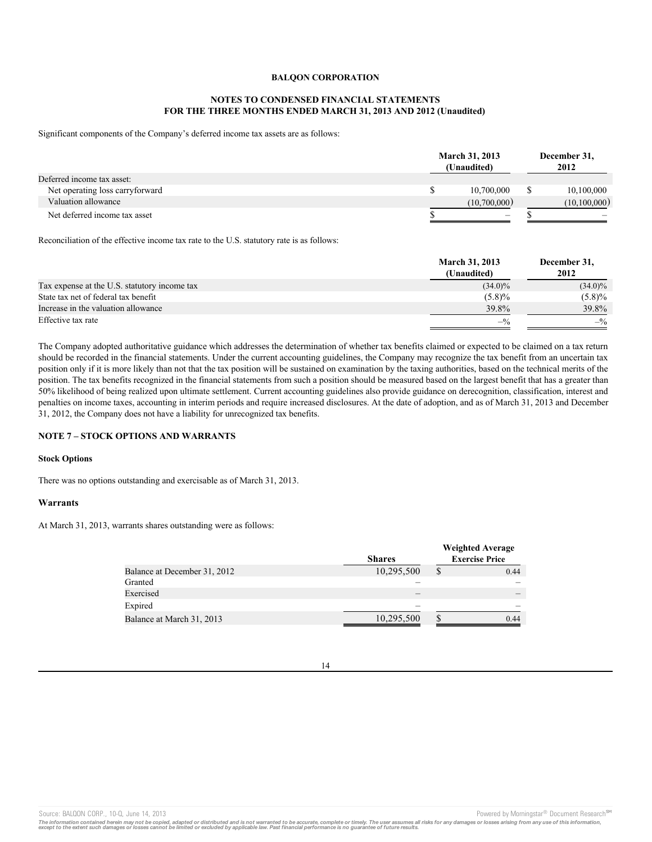## **NOTES TO CONDENSED FINANCIAL STATEMENTS FOR THE THREE MONTHS ENDED MARCH 31, 2013 AND 2012 (Unaudited)**

Significant components of the Company's deferred income tax assets are as follows:

|                                 | <b>March 31, 2013</b><br>(Unaudited) | December 31,<br>2012 |              |  |
|---------------------------------|--------------------------------------|----------------------|--------------|--|
| Deferred income tax asset:      |                                      |                      |              |  |
| Net operating loss carryforward | 10,700,000                           |                      | 10,100,000   |  |
| Valuation allowance             | (10,700,000)                         |                      | (10,100,000) |  |
| Net deferred income tax asset   |                                      |                      |              |  |

Reconciliation of the effective income tax rate to the U.S. statutory rate is as follows:

|                                              | <b>March 31, 2013</b> | December 31,    |  |
|----------------------------------------------|-----------------------|-----------------|--|
|                                              | (Unaudited)           | 2012            |  |
| Tax expense at the U.S. statutory income tax | $(34.0)\%$            | $(34.0)\%$      |  |
| State tax net of federal tax benefit         | $(5.8)\%$             | $(5.8)\%$       |  |
| Increase in the valuation allowance          | 39.8%                 | 39.8%           |  |
| Effective tax rate                           | $-^{0}/_{0}$          | $- \frac{0}{2}$ |  |

The Company adopted authoritative guidance which addresses the determination of whether tax benefits claimed or expected to be claimed on a tax return should be recorded in the financial statements. Under the current accounting guidelines, the Company may recognize the tax benefit from an uncertain tax position only if it is more likely than not that the tax position will be sustained on examination by the taxing authorities, based on the technical merits of the position. The tax benefits recognized in the financial statements from such a position should be measured based on the largest benefit that has a greater than 50% likelihood of being realized upon ultimate settlement. Current accounting guidelines also provide guidance on derecognition, classification, interest and penalties on income taxes, accounting in interim periods and require increased disclosures. At the date of adoption, and as of March 31, 2013 and December 31, 2012, the Company does not have a liability for unrecognized tax benefits.

## **NOTE 7 – STOCK OPTIONS AND WARRANTS**

#### **Stock Options**

There was no options outstanding and exercisable as of March 31, 2013.

## **Warrants**

At March 31, 2013, warrants shares outstanding were as follows:

|                              |               |   | <b>Weighted Average</b> |
|------------------------------|---------------|---|-------------------------|
|                              | <b>Shares</b> |   | <b>Exercise Price</b>   |
| Balance at December 31, 2012 | 10,295,500    | S | 0.44                    |
| Granted                      |               |   |                         |
| Exercised                    |               |   |                         |
| Expired                      |               |   |                         |
| Balance at March 31, 2013    | 10,295,500    | S | 0.44                    |

Source: BALQON CORP., 10-Q, June 14, 2013 **Powered by Morningstar<sup>®</sup> Document Research<sup>SM</sup>**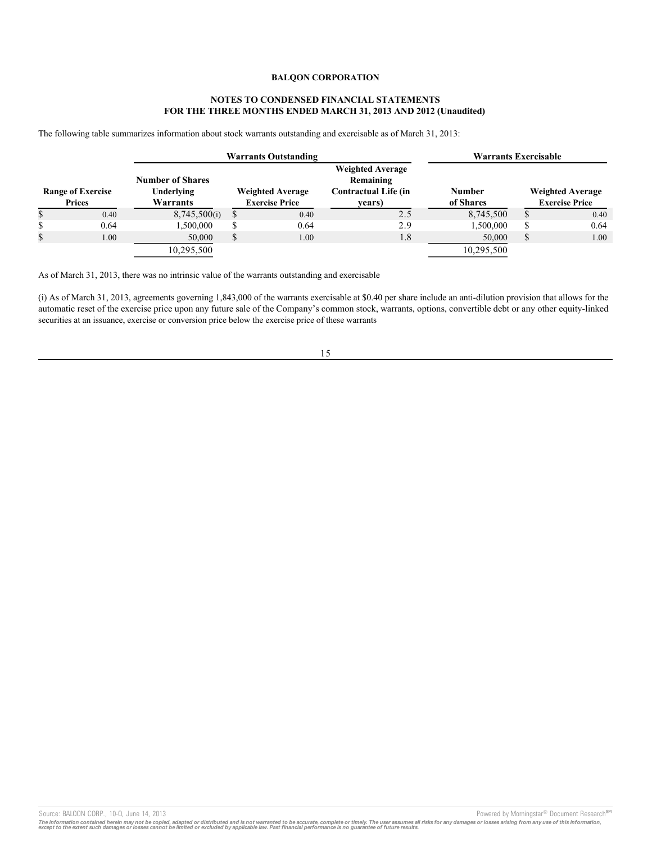## **NOTES TO CONDENSED FINANCIAL STATEMENTS FOR THE THREE MONTHS ENDED MARCH 31, 2013 AND 2012 (Unaudited)**

The following table summarizes information about stock warrants outstanding and exercisable as of March 31, 2013:

|               | <b>Warrants Outstanding</b> |                                       |                       | <b>Warrants Exercisable</b> |                                                                     |               |                       |                         |
|---------------|-----------------------------|---------------------------------------|-----------------------|-----------------------------|---------------------------------------------------------------------|---------------|-----------------------|-------------------------|
|               | <b>Range of Exercise</b>    | <b>Number of Shares</b><br>Underlying |                       | <b>Weighted Average</b>     | <b>Weighted Average</b><br>Remaining<br><b>Contractual Life (in</b> | <b>Number</b> |                       | <b>Weighted Average</b> |
| <b>Prices</b> |                             | Warrants                              | <b>Exercise Price</b> |                             | vears)                                                              | of Shares     | <b>Exercise Price</b> |                         |
| \$            | 0.40                        | 8,745,500(i)                          |                       | 0.40                        | 2.5                                                                 | 8,745,500     |                       | 0.40                    |
| \$            | 0.64                        | 1,500,000                             |                       | 0.64                        | 2.9                                                                 | 1,500,000     | S                     | 0.64                    |
| \$            | 1.00                        | 50,000                                |                       | 1.00                        | 1.8                                                                 | 50,000        | \$                    | 1.00                    |
|               |                             | 10,295,500                            |                       |                             |                                                                     | 10,295,500    |                       |                         |

As of March 31, 2013, there was no intrinsic value of the warrants outstanding and exercisable

(i) As of March 31, 2013, agreements governing 1,843,000 of the warrants exercisable at \$0.40 per share include an anti-dilution provision that allows for the automatic reset of the exercise price upon any future sale of the Company's common stock, warrants, options, convertible debt or any other equity-linked securities at an issuance, exercise or conversion price below the exercise price of these warrants

15

Source: BALQON CORP., 10-Q, June 14, 2013 **Powered by Morningstar<sup>®</sup>** Document Research<sup>®M</sup>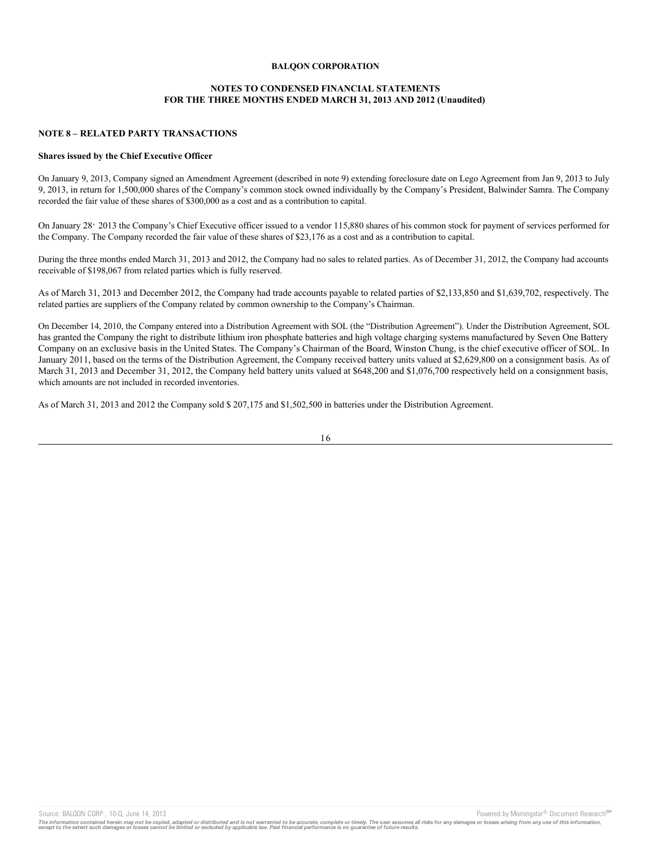## **NOTES TO CONDENSED FINANCIAL STATEMENTS FOR THE THREE MONTHS ENDED MARCH 31, 2013 AND 2012 (Unaudited)**

#### **NOTE 8 – RELATED PARTY TRANSACTIONS**

#### **Shares issued by the Chief Executive Officer**

On January 9, 2013, Company signed an Amendment Agreement (described in note 9) extending foreclosure date on Lego Agreement from Jan 9, 2013 to July 9, 2013, in return for 1,500,000 shares of the Company's common stock owned individually by the Company's President, Balwinder Samra. The Company recorded the fair value of these shares of \$300,000 as a cost and as a contribution to capital.

On January 28, 2013 the Company's Chief Executive officer issued to a vendor 115,880 shares of his common stock for payment of services performed for the Company. The Company recorded the fair value of these shares of \$23,176 as a cost and as a contribution to capital.

During the three months ended March 31, 2013 and 2012, the Company had no sales to related parties. As of December 31, 2012, the Company had accounts receivable of \$198,067 from related parties which is fully reserved.

As of March 31, 2013 and December 2012, the Company had trade accounts payable to related parties of \$2,133,850 and \$1,639,702, respectively. The related parties are suppliers of the Company related by common ownership to the Company's Chairman.

On December 14, 2010, the Company entered into a Distribution Agreement with SOL (the "Distribution Agreement"). Under the Distribution Agreement, SOL has granted the Company the right to distribute lithium iron phosphate batteries and high voltage charging systems manufactured by Seven One Battery Company on an exclusive basis in the United States. The Company's Chairman of the Board, Winston Chung, is the chief executive officer of SOL. In January 2011, based on the terms of the Distribution Agreement, the Company received battery units valued at \$2,629,800 on a consignment basis. As of March 31, 2013 and December 31, 2012, the Company held battery units valued at \$648,200 and \$1,076,700 respectively held on a consignment basis, which amounts are not included in recorded inventories.

As of March 31, 2013 and 2012 the Company sold \$ 207,175 and \$1,502,500 in batteries under the Distribution Agreement.

16

Source: BALQON CORP., 10-Q, June 14, 2013 **Powered by Morningstar® Document Research** in Powered by Morningstar® Document Research in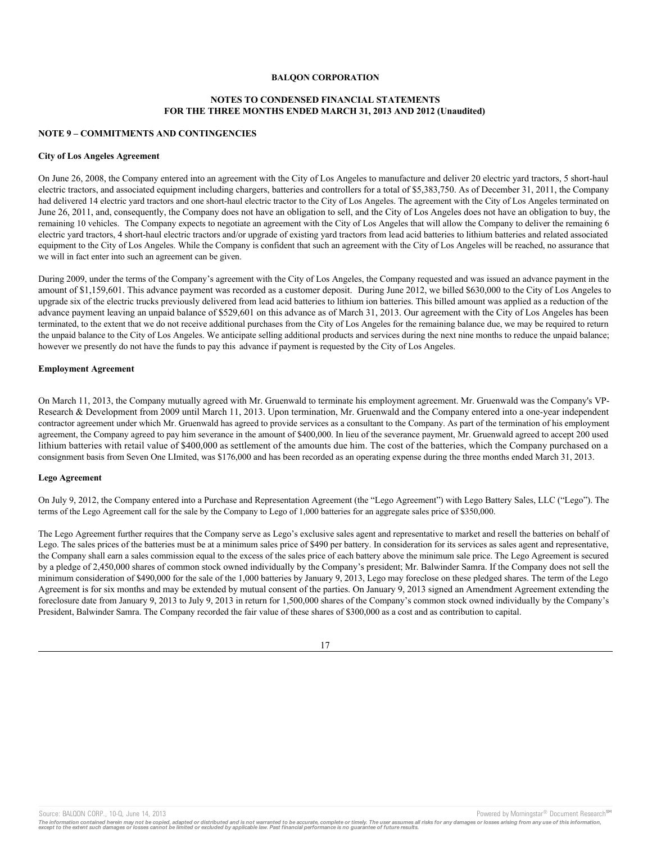## **NOTES TO CONDENSED FINANCIAL STATEMENTS FOR THE THREE MONTHS ENDED MARCH 31, 2013 AND 2012 (Unaudited)**

#### **NOTE 9 – COMMITMENTS AND CONTINGENCIES**

#### **City of Los Angeles Agreement**

On June 26, 2008, the Company entered into an agreement with the City of Los Angeles to manufacture and deliver 20 electric yard tractors, 5 short-haul electric tractors, and associated equipment including chargers, batteries and controllers for a total of \$5,383,750. As of December 31, 2011, the Company had delivered 14 electric yard tractors and one short-haul electric tractor to the City of Los Angeles. The agreement with the City of Los Angeles terminated on June 26, 2011, and, consequently, the Company does not have an obligation to sell, and the City of Los Angeles does not have an obligation to buy, the remaining 10 vehicles. The Company expects to negotiate an agreement with the City of Los Angeles that will allow the Company to deliver the remaining 6 electric yard tractors, 4 short-haul electric tractors and/or upgrade of existing yard tractors from lead acid batteries to lithium batteries and related associated equipment to the City of Los Angeles. While the Company is confident that such an agreement with the City of Los Angeles will be reached, no assurance that we will in fact enter into such an agreement can be given.

During 2009, under the terms of the Company's agreement with the City of Los Angeles, the Company requested and was issued an advance payment in the amount of \$1,159,601. This advance payment was recorded as a customer deposit. During June 2012, we billed \$630,000 to the City of Los Angeles to upgrade six of the electric trucks previously delivered from lead acid batteries to lithium ion batteries. This billed amount was applied as a reduction of the advance payment leaving an unpaid balance of \$529,601 on this advance as of March 31, 2013. Our agreement with the City of Los Angeles has been terminated, to the extent that we do not receive additional purchases from the City of Los Angeles for the remaining balance due, we may be required to return the unpaid balance to the City of Los Angeles. We anticipate selling additional products and services during the next nine months to reduce the unpaid balance; however we presently do not have the funds to pay this advance if payment is requested by the City of Los Angeles.

### **Employment Agreement**

On March 11, 2013, the Company mutually agreed with Mr. Gruenwald to terminate his employment agreement. Mr. Gruenwald was the Company's VP-Research & Development from 2009 until March 11, 2013. Upon termination, Mr. Gruenwald and the Company entered into a one-year independent contractor agreement under which Mr. Gruenwald has agreed to provide services as a consultant to the Company. As part of the termination of his employment agreement, the Company agreed to pay him severance in the amount of \$400,000. In lieu of the severance payment, Mr. Gruenwald agreed to accept 200 used lithium batteries with retail value of \$400,000 as settlement of the amounts due him. The cost of the batteries, which the Company purchased on a consignment basis from Seven One LImited, was \$176,000 and has been recorded as an operating expense during the three months ended March 31, 2013.

#### **Lego Agreement**

On July 9, 2012, the Company entered into a Purchase and Representation Agreement (the "Lego Agreement") with Lego Battery Sales, LLC ("Lego"). The terms of the Lego Agreement call for the sale by the Company to Lego of 1,000 batteries for an aggregate sales price of \$350,000.

The Lego Agreement further requires that the Company serve as Lego's exclusive sales agent and representative to market and resell the batteries on behalf of Lego. The sales prices of the batteries must be at a minimum sales price of \$490 per battery. In consideration for its services as sales agent and representative, the Company shall earn a sales commission equal to the excess of the sales price of each battery above the minimum sale price. The Lego Agreement is secured by a pledge of 2,450,000 shares of common stock owned individually by the Company's president; Mr. Balwinder Samra. If the Company does not sell the minimum consideration of \$490,000 for the sale of the 1,000 batteries by January 9, 2013, Lego may foreclose on these pledged shares. The term of the Lego Agreement is for six months and may be extended by mutual consent of the parties. On January 9, 2013 signed an Amendment Agreement extending the foreclosure date from January 9, 2013 to July 9, 2013 in return for 1,500,000 shares of the Company's common stock owned individually by the Company's President, Balwinder Samra. The Company recorded the fair value of these shares of \$300,000 as a cost and as contribution to capital.



Source: BALQON CORP., 10-Q, June 14, 2013 **Powered by Morningstar® Document Research** and the second product and the second product and the second product and the second product and the second product and the second produc

The information contained herein may not be copied, adapted or distributed and is not warranted to be accurate, complete or timely. The user assumes all risks for any damages or losses arising from any use of this informat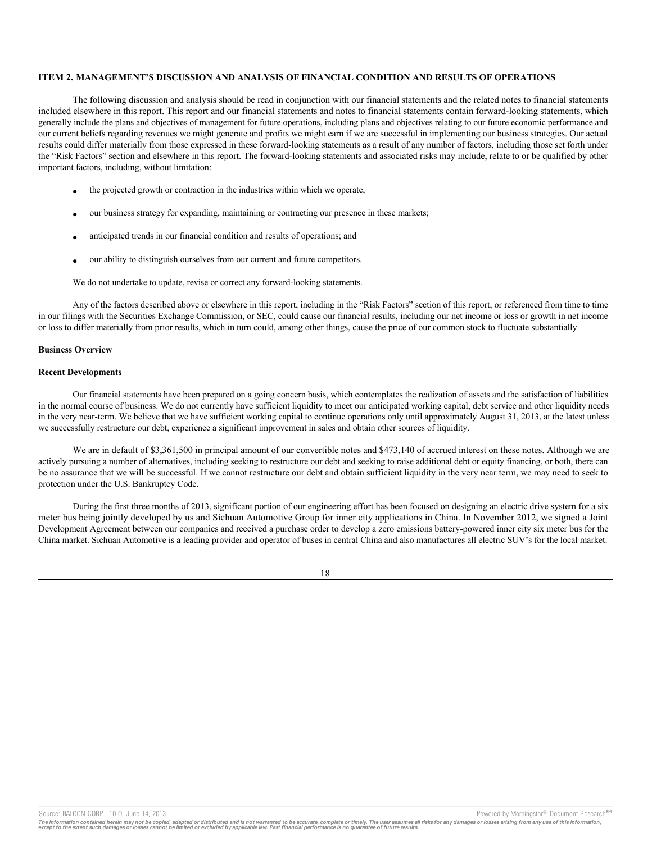## **ITEM 2. MANAGEMENT'S DISCUSSION AND ANALYSIS OF FINANCIAL CONDITION AND RESULTS OF OPERATIONS**

The following discussion and analysis should be read in conjunction with our financial statements and the related notes to financial statements included elsewhere in this report. This report and our financial statements and notes to financial statements contain forward-looking statements, which generally include the plans and objectives of management for future operations, including plans and objectives relating to our future economic performance and our current beliefs regarding revenues we might generate and profits we might earn if we are successful in implementing our business strategies. Our actual results could differ materially from those expressed in these forward-looking statements as a result of any number of factors, including those set forth under the "Risk Factors" section and elsewhere in this report. The forward-looking statements and associated risks may include, relate to or be qualified by other important factors, including, without limitation:

- the projected growth or contraction in the industries within which we operate;
- our business strategy for expanding, maintaining or contracting our presence in these markets;
- anticipated trends in our financial condition and results of operations; and
- our ability to distinguish ourselves from our current and future competitors.

We do not undertake to update, revise or correct any forward-looking statements.

Any of the factors described above or elsewhere in this report, including in the "Risk Factors" section of this report, or referenced from time to time in our filings with the Securities Exchange Commission, or SEC, could cause our financial results, including our net income or loss or growth in net income or loss to differ materially from prior results, which in turn could, among other things, cause the price of our common stock to fluctuate substantially.

### **Business Overview**

#### **Recent Developments**

Our financial statements have been prepared on a going concern basis, which contemplates the realization of assets and the satisfaction of liabilities in the normal course of business. We do not currently have sufficient liquidity to meet our anticipated working capital, debt service and other liquidity needs in the very near-term. We believe that we have sufficient working capital to continue operations only until approximately August 31, 2013, at the latest unless we successfully restructure our debt, experience a significant improvement in sales and obtain other sources of liquidity.

We are in default of \$3,361,500 in principal amount of our convertible notes and \$473,140 of accrued interest on these notes. Although we are actively pursuing a number of alternatives, including seeking to restructure our debt and seeking to raise additional debt or equity financing, or both, there can be no assurance that we will be successful. If we cannot restructure our debt and obtain sufficient liquidity in the very near term, we may need to seek to protection under the U.S. Bankruptcy Code.

During the first three months of 2013, significant portion of our engineering effort has been focused on designing an electric drive system for a six meter bus being jointly developed by us and Sichuan Automotive Group for inner city applications in China. In November 2012, we signed a Joint Development Agreement between our companies and received a purchase order to develop a zero emissions battery-powered inner city six meter bus for the China market. Sichuan Automotive is a leading provider and operator of buses in central China and also manufactures all electric SUV's for the local market.



Source: BALQON CORP., 10-Q, June 14, 2013 **Powered by Morningstar® Document Research** in Powered by Morningstar® Document Research in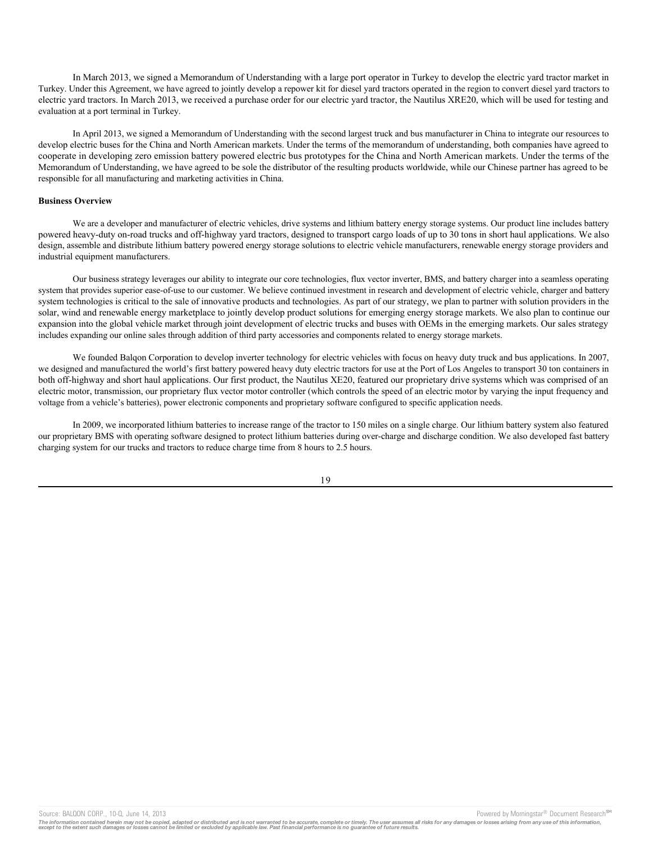In March 2013, we signed a Memorandum of Understanding with a large port operator in Turkey to develop the electric yard tractor market in Turkey. Under this Agreement, we have agreed to jointly develop a repower kit for diesel yard tractors operated in the region to convert diesel yard tractors to electric yard tractors. In March 2013, we received a purchase order for our electric yard tractor, the Nautilus XRE20, which will be used for testing and evaluation at a port terminal in Turkey.

In April 2013, we signed a Memorandum of Understanding with the second largest truck and bus manufacturer in China to integrate our resources to develop electric buses for the China and North American markets. Under the terms of the memorandum of understanding, both companies have agreed to cooperate in developing zero emission battery powered electric bus prototypes for the China and North American markets. Under the terms of the Memorandum of Understanding, we have agreed to be sole the distributor of the resulting products worldwide, while our Chinese partner has agreed to be responsible for all manufacturing and marketing activities in China.

#### **Business Overview**

We are a developer and manufacturer of electric vehicles, drive systems and lithium battery energy storage systems. Our product line includes battery powered heavy-duty on-road trucks and off-highway yard tractors, designed to transport cargo loads of up to 30 tons in short haul applications. We also design, assemble and distribute lithium battery powered energy storage solutions to electric vehicle manufacturers, renewable energy storage providers and industrial equipment manufacturers.

Our business strategy leverages our ability to integrate our core technologies, flux vector inverter, BMS, and battery charger into a seamless operating system that provides superior ease-of-use to our customer. We believe continued investment in research and development of electric vehicle, charger and battery system technologies is critical to the sale of innovative products and technologies. As part of our strategy, we plan to partner with solution providers in the solar, wind and renewable energy marketplace to jointly develop product solutions for emerging energy storage markets. We also plan to continue our expansion into the global vehicle market through joint development of electric trucks and buses with OEMs in the emerging markets. Our sales strategy includes expanding our online sales through addition of third party accessories and components related to energy storage markets.

We founded Balqon Corporation to develop inverter technology for electric vehicles with focus on heavy duty truck and bus applications. In 2007, we designed and manufactured the world's first battery powered heavy duty electric tractors for use at the Port of Los Angeles to transport 30 ton containers in both off-highway and short haul applications. Our first product, the Nautilus XE20, featured our proprietary drive systems which was comprised of an electric motor, transmission, our proprietary flux vector motor controller (which controls the speed of an electric motor by varying the input frequency and voltage from a vehicle's batteries), power electronic components and proprietary software configured to specific application needs.

In 2009, we incorporated lithium batteries to increase range of the tractor to 150 miles on a single charge. Our lithium battery system also featured our proprietary BMS with operating software designed to protect lithium batteries during over-charge and discharge condition. We also developed fast battery charging system for our trucks and tractors to reduce charge time from 8 hours to 2.5 hours.

19

Source: BALQON CORP., 10-Q, June 14, 2013 **Powered by Morningstar® Document Research** in Powered by Morningstar® Document Research in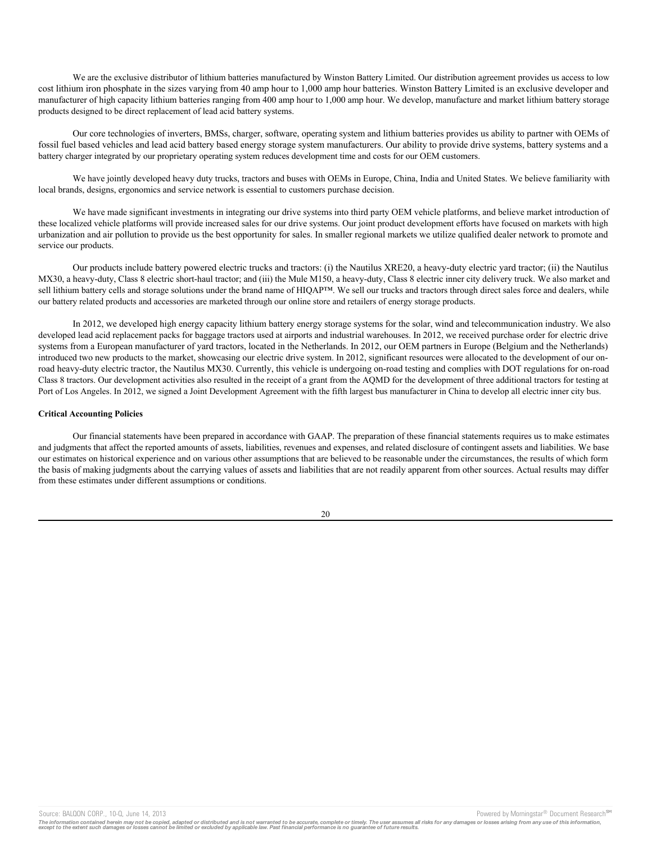We are the exclusive distributor of lithium batteries manufactured by Winston Battery Limited. Our distribution agreement provides us access to low cost lithium iron phosphate in the sizes varying from 40 amp hour to 1,000 amp hour batteries. Winston Battery Limited is an exclusive developer and manufacturer of high capacity lithium batteries ranging from 400 amp hour to 1,000 amp hour. We develop, manufacture and market lithium battery storage products designed to be direct replacement of lead acid battery systems.

Our core technologies of inverters, BMSs, charger, software, operating system and lithium batteries provides us ability to partner with OEMs of fossil fuel based vehicles and lead acid battery based energy storage system manufacturers. Our ability to provide drive systems, battery systems and a battery charger integrated by our proprietary operating system reduces development time and costs for our OEM customers.

We have jointly developed heavy duty trucks, tractors and buses with OEMs in Europe, China, India and United States. We believe familiarity with local brands, designs, ergonomics and service network is essential to customers purchase decision.

We have made significant investments in integrating our drive systems into third party OEM vehicle platforms, and believe market introduction of these localized vehicle platforms will provide increased sales for our drive systems. Our joint product development efforts have focused on markets with high urbanization and air pollution to provide us the best opportunity for sales. In smaller regional markets we utilize qualified dealer network to promote and service our products.

Our products include battery powered electric trucks and tractors: (i) the Nautilus XRE20, a heavy-duty electric yard tractor; (ii) the Nautilus MX30, a heavy-duty, Class 8 electric short-haul tractor; and (iii) the Mule M150, a heavy-duty, Class 8 electric inner city delivery truck. We also market and sell lithium battery cells and storage solutions under the brand name of HIQAP™. We sell our trucks and tractors through direct sales force and dealers, while our battery related products and accessories are marketed through our online store and retailers of energy storage products.

In 2012, we developed high energy capacity lithium battery energy storage systems for the solar, wind and telecommunication industry. We also developed lead acid replacement packs for baggage tractors used at airports and industrial warehouses. In 2012, we received purchase order for electric drive systems from a European manufacturer of yard tractors, located in the Netherlands. In 2012, our OEM partners in Europe (Belgium and the Netherlands) introduced two new products to the market, showcasing our electric drive system. In 2012, significant resources were allocated to the development of our onroad heavy-duty electric tractor, the Nautilus MX30. Currently, this vehicle is undergoing on-road testing and complies with DOT regulations for on-road Class 8 tractors. Our development activities also resulted in the receipt of a grant from the AQMD for the development of three additional tractors for testing at Port of Los Angeles. In 2012, we signed a Joint Development Agreement with the fifth largest bus manufacturer in China to develop all electric inner city bus.

### **Critical Accounting Policies**

Our financial statements have been prepared in accordance with GAAP. The preparation of these financial statements requires us to make estimates and judgments that affect the reported amounts of assets, liabilities, revenues and expenses, and related disclosure of contingent assets and liabilities. We base our estimates on historical experience and on various other assumptions that are believed to be reasonable under the circumstances, the results of which form the basis of making judgments about the carrying values of assets and liabilities that are not readily apparent from other sources. Actual results may differ from these estimates under different assumptions or conditions.

$$
20\quad
$$

Source: BALQON CORP., 10-Q, June 14, 2013 **Powered by Morningstar® Document Research** <sup>sm</sup>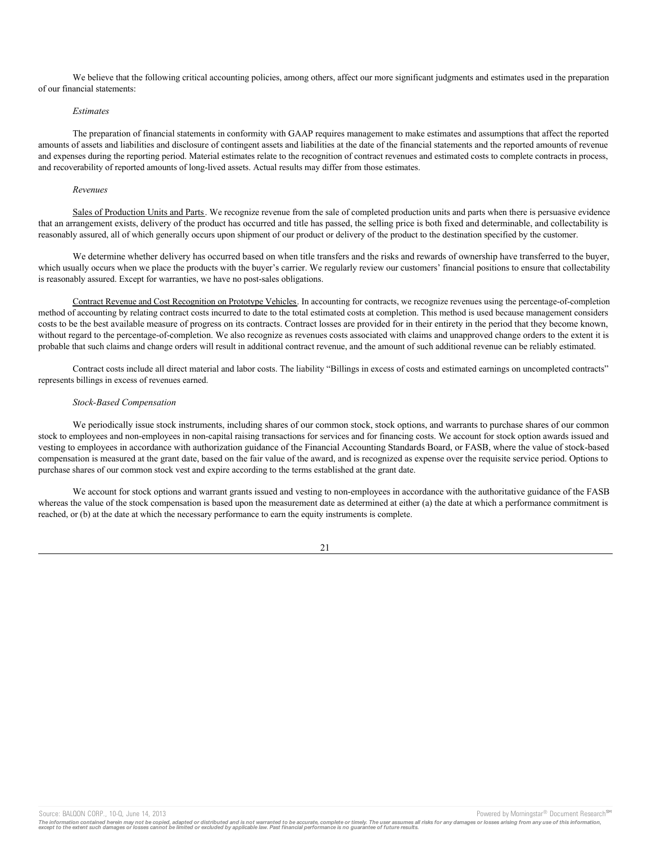We believe that the following critical accounting policies, among others, affect our more significant judgments and estimates used in the preparation of our financial statements:

#### *Estimates*

The preparation of financial statements in conformity with GAAP requires management to make estimates and assumptions that affect the reported amounts of assets and liabilities and disclosure of contingent assets and liabilities at the date of the financial statements and the reported amounts of revenue and expenses during the reporting period. Material estimates relate to the recognition of contract revenues and estimated costs to complete contracts in process, and recoverability of reported amounts of long-lived assets. Actual results may differ from those estimates.

#### *Revenues*

Sales of Production Units and Parts. We recognize revenue from the sale of completed production units and parts when there is persuasive evidence that an arrangement exists, delivery of the product has occurred and title has passed, the selling price is both fixed and determinable, and collectability is reasonably assured, all of which generally occurs upon shipment of our product or delivery of the product to the destination specified by the customer.

We determine whether delivery has occurred based on when title transfers and the risks and rewards of ownership have transferred to the buyer, which usually occurs when we place the products with the buyer's carrier. We regularly review our customers' financial positions to ensure that collectability is reasonably assured. Except for warranties, we have no post-sales obligations.

Contract Revenue and Cost Recognition on Prototype Vehicles. In accounting for contracts, we recognize revenues using the percentage-of-completion method of accounting by relating contract costs incurred to date to the total estimated costs at completion. This method is used because management considers costs to be the best available measure of progress on its contracts. Contract losses are provided for in their entirety in the period that they become known, without regard to the percentage-of-completion. We also recognize as revenues costs associated with claims and unapproved change orders to the extent it is probable that such claims and change orders will result in additional contract revenue, and the amount of such additional revenue can be reliably estimated.

Contract costs include all direct material and labor costs. The liability "Billings in excess of costs and estimated earnings on uncompleted contracts" represents billings in excess of revenues earned.

#### *Stock-Based Compensation*

We periodically issue stock instruments, including shares of our common stock, stock options, and warrants to purchase shares of our common stock to employees and non-employees in non-capital raising transactions for services and for financing costs. We account for stock option awards issued and vesting to employees in accordance with authorization guidance of the Financial Accounting Standards Board, or FASB, where the value of stock-based compensation is measured at the grant date, based on the fair value of the award, and is recognized as expense over the requisite service period. Options to purchase shares of our common stock vest and expire according to the terms established at the grant date.

We account for stock options and warrant grants issued and vesting to non-employees in accordance with the authoritative guidance of the FASB whereas the value of the stock compensation is based upon the measurement date as determined at either (a) the date at which a performance commitment is reached, or (b) at the date at which the necessary performance to earn the equity instruments is complete.

#### 21

Source: BALQON CORP., 10-Q, June 14, 2013 **Powered by Morningstar® Document Research** <sup>sm</sup>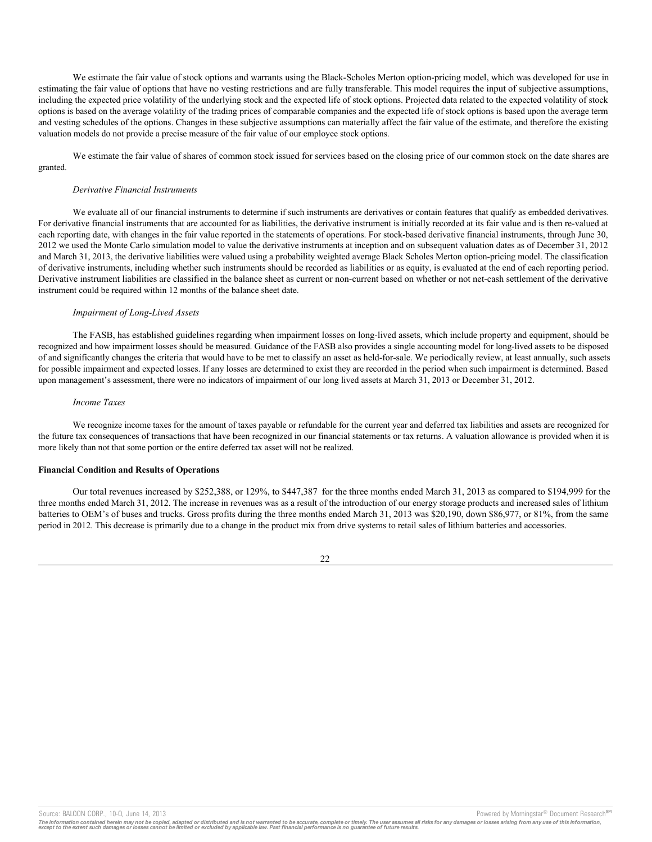We estimate the fair value of stock options and warrants using the Black-Scholes Merton option-pricing model, which was developed for use in estimating the fair value of options that have no vesting restrictions and are fully transferable. This model requires the input of subjective assumptions, including the expected price volatility of the underlying stock and the expected life of stock options. Projected data related to the expected volatility of stock options is based on the average volatility of the trading prices of comparable companies and the expected life of stock options is based upon the average term and vesting schedules of the options. Changes in these subjective assumptions can materially affect the fair value of the estimate, and therefore the existing valuation models do not provide a precise measure of the fair value of our employee stock options.

We estimate the fair value of shares of common stock issued for services based on the closing price of our common stock on the date shares are granted.

#### *Derivative Financial Instruments*

We evaluate all of our financial instruments to determine if such instruments are derivatives or contain features that qualify as embedded derivatives. For derivative financial instruments that are accounted for as liabilities, the derivative instrument is initially recorded at its fair value and is then re-valued at each reporting date, with changes in the fair value reported in the statements of operations. For stock-based derivative financial instruments, through June 30, 2012 we used the Monte Carlo simulation model to value the derivative instruments at inception and on subsequent valuation dates as of December 31, 2012 and March 31, 2013, the derivative liabilities were valued using a probability weighted average Black Scholes Merton option-pricing model. The classification of derivative instruments, including whether such instruments should be recorded as liabilities or as equity, is evaluated at the end of each reporting period. Derivative instrument liabilities are classified in the balance sheet as current or non-current based on whether or not net-cash settlement of the derivative instrument could be required within 12 months of the balance sheet date.

#### *Impairment of Long-Lived Assets*

The FASB, has established guidelines regarding when impairment losses on long-lived assets, which include property and equipment, should be recognized and how impairment losses should be measured. Guidance of the FASB also provides a single accounting model for long-lived assets to be disposed of and significantly changes the criteria that would have to be met to classify an asset as held-for-sale. We periodically review, at least annually, such assets for possible impairment and expected losses. If any losses are determined to exist they are recorded in the period when such impairment is determined. Based upon management's assessment, there were no indicators of impairment of our long lived assets at March 31, 2013 or December 31, 2012.

#### *Income Taxes*

We recognize income taxes for the amount of taxes payable or refundable for the current year and deferred tax liabilities and assets are recognized for the future tax consequences of transactions that have been recognized in our financial statements or tax returns. A valuation allowance is provided when it is more likely than not that some portion or the entire deferred tax asset will not be realized.

#### **Financial Condition and Results of Operations**

Our total revenues increased by \$252,388, or 129%, to \$447,387 for the three months ended March 31, 2013 as compared to \$194,999 for the three months ended March 31, 2012. The increase in revenues was as a result of the introduction of our energy storage products and increased sales of lithium batteries to OEM's of buses and trucks. Gross profits during the three months ended March 31, 2013 was \$20,190, down \$86,977, or 81%, from the same period in 2012. This decrease is primarily due to a change in the product mix from drive systems to retail sales of lithium batteries and accessories.



Source: BALQON CORP., 10-Q, June 14, 2013 **Powered by Morningstar® Document Research** and the second product and the second product and the second product and the second product and the second product and the second produc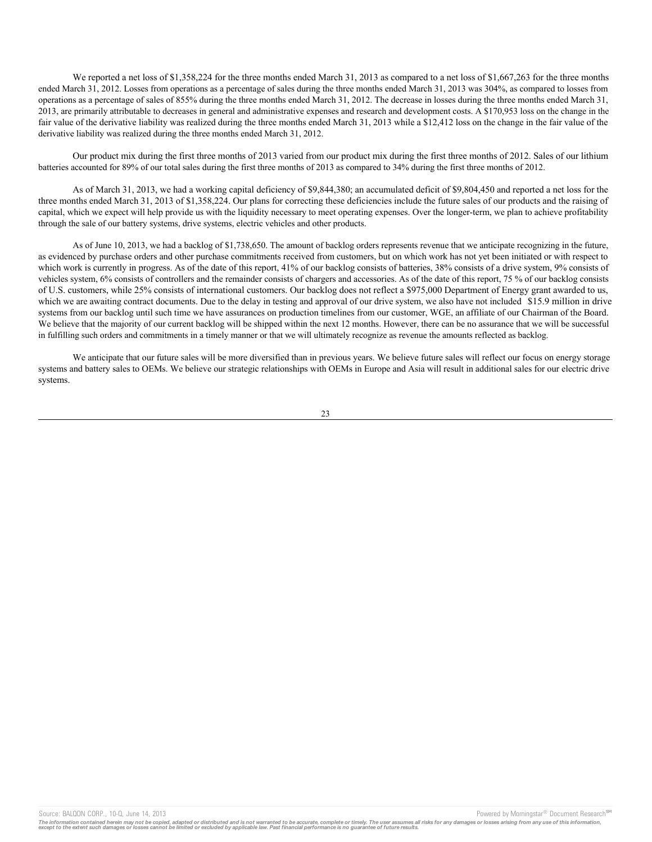We reported a net loss of \$1,358,224 for the three months ended March 31, 2013 as compared to a net loss of \$1,667,263 for the three months ended March 31, 2012. Losses from operations as a percentage of sales during the three months ended March 31, 2013 was 304%, as compared to losses from operations as a percentage of sales of 855% during the three months ended March 31, 2012. The decrease in losses during the three months ended March 31, 2013, are primarily attributable to decreases in general and administrative expenses and research and development costs. A \$170,953 loss on the change in the fair value of the derivative liability was realized during the three months ended March 31, 2013 while a \$12,412 loss on the change in the fair value of the derivative liability was realized during the three months ended March 31, 2012.

Our product mix during the first three months of 2013 varied from our product mix during the first three months of 2012. Sales of our lithium batteries accounted for 89% of our total sales during the first three months of 2013 as compared to 34% during the first three months of 2012.

As of March 31, 2013, we had a working capital deficiency of \$9,844,380; an accumulated deficit of \$9,804,450 and reported a net loss for the three months ended March 31, 2013 of \$1,358,224. Our plans for correcting these deficiencies include the future sales of our products and the raising of capital, which we expect will help provide us with the liquidity necessary to meet operating expenses. Over the longer-term, we plan to achieve profitability through the sale of our battery systems, drive systems, electric vehicles and other products.

As of June 10, 2013, we had a backlog of \$1,738,650. The amount of backlog orders represents revenue that we anticipate recognizing in the future, as evidenced by purchase orders and other purchase commitments received from customers, but on which work has not yet been initiated or with respect to which work is currently in progress. As of the date of this report, 41% of our backlog consists of batteries, 38% consists of a drive system, 9% consists of vehicles system, 6% consists of controllers and the remainder consists of chargers and accessories. As of the date of this report, 75 % of our backlog consists of U.S. customers, while 25% consists of international customers. Our backlog does not reflect a \$975,000 Department of Energy grant awarded to us, which we are awaiting contract documents. Due to the delay in testing and approval of our drive system, we also have not included \$15.9 million in drive systems from our backlog until such time we have assurances on production timelines from our customer, WGE, an affiliate of our Chairman of the Board. We believe that the majority of our current backlog will be shipped within the next 12 months. However, there can be no assurance that we will be successful in fulfilling such orders and commitments in a timely manner or that we will ultimately recognize as revenue the amounts reflected as backlog.

We anticipate that our future sales will be more diversified than in previous years. We believe future sales will reflect our focus on energy storage systems and battery sales to OEMs. We believe our strategic relationships with OEMs in Europe and Asia will result in additional sales for our electric drive systems.

 $23$ 

Source: BALQON CORP., 10-Q, June 14, 2013 **Powered by Morningstar® Document Research** <sup>sm</sup>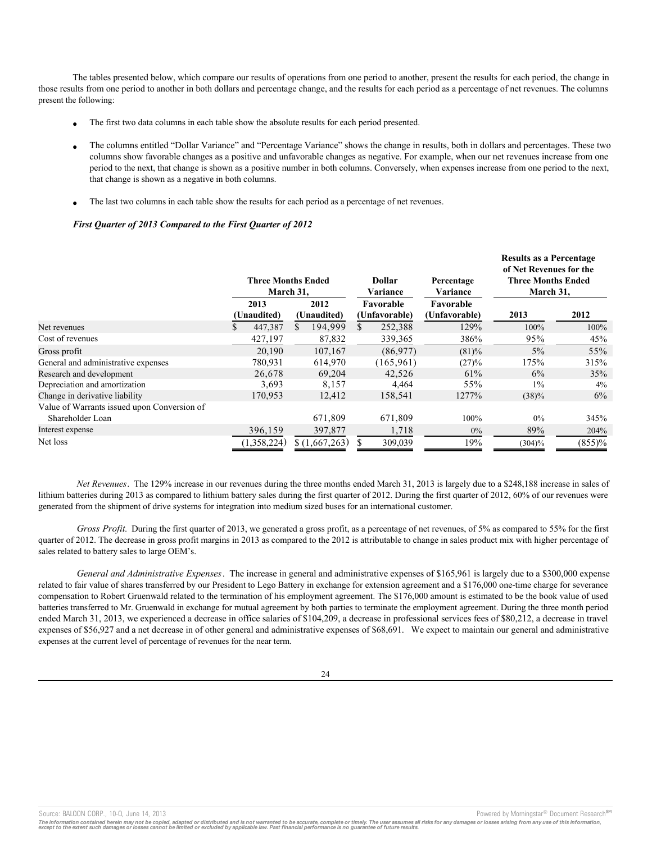The tables presented below, which compare our results of operations from one period to another, present the results for each period, the change in those results from one period to another in both dollars and percentage change, and the results for each period as a percentage of net revenues. The columns present the following:

- The first two data columns in each table show the absolute results for each period presented.
- · The columns entitled "Dollar Variance" and "Percentage Variance" shows the change in results, both in dollars and percentages. These two columns show favorable changes as a positive and unfavorable changes as negative. For example, when our net revenues increase from one period to the next, that change is shown as a positive number in both columns. Conversely, when expenses increase from one period to the next, that change is shown as a negative in both columns.
- The last two columns in each table show the results for each period as a percentage of net revenues.

## *First Quarter of 2013 Compared to the First Quarter of 2012*

|                                             | <b>Three Months Ended</b><br>March 31. |                     | <b>Dollar</b><br>Variance  | Percentage<br>Variance     | <b>Results as a Percentage</b><br>of Net Revenues for the<br><b>Three Months Ended</b><br>March 31, |           |
|---------------------------------------------|----------------------------------------|---------------------|----------------------------|----------------------------|-----------------------------------------------------------------------------------------------------|-----------|
|                                             | 2013<br>(Unaudited)                    | 2012<br>(Unaudited) | Favorable<br>(Unfavorable) | Favorable<br>(Unfavorable) | 2013                                                                                                | 2012      |
| Net revenues                                | 447,387                                | 194,999             | 252,388<br>S.              | 129%                       | 100%                                                                                                | 100%      |
| Cost of revenues                            | 427,197                                | 87,832              | 339, 365                   | 386%                       | 95%                                                                                                 | 45%       |
| Gross profit                                | 20,190                                 | 107,167             | (86,977)                   | (81)%                      | $5\%$                                                                                               | 55%       |
| General and administrative expenses         | 780,931                                | 614,970             | (165, 961)                 | (27)%                      | 175%                                                                                                | 315%      |
| Research and development                    | 26,678                                 | 69,204              | 42,526                     | 61%                        | $6\%$                                                                                               | 35%       |
| Depreciation and amortization               | 3,693                                  | 8,157               | 4,464                      | 55%                        | $1\%$                                                                                               | $4\%$     |
| Change in derivative liability              | 170,953                                | 12.412              | 158,541                    | 1277%                      | $(38)\%$                                                                                            | $6\%$     |
| Value of Warrants issued upon Conversion of |                                        |                     |                            |                            |                                                                                                     |           |
| Shareholder Loan                            |                                        | 671,809             | 671,809                    | 100%                       | $0\%$                                                                                               | 345%      |
| Interest expense                            | 396,159                                | 397,877             | 1,718                      | 0%                         | 89%                                                                                                 | 204%      |
| Net loss                                    | (1,358,224)                            | \$(1,667,263)       | 309,039                    | 19%                        | $(304)\%$                                                                                           | $(855)\%$ |

*Net Revenues*. The 129% increase in our revenues during the three months ended March 31, 2013 is largely due to a \$248,188 increase in sales of lithium batteries during 2013 as compared to lithium battery sales during the first quarter of 2012. During the first quarter of 2012, 60% of our revenues were generated from the shipment of drive systems for integration into medium sized buses for an international customer.

*Gross Profit*. During the first quarter of 2013, we generated a gross profit, as a percentage of net revenues, of 5% as compared to 55% for the first quarter of 2012. The decrease in gross profit margins in 2013 as compared to the 2012 is attributable to change in sales product mix with higher percentage of sales related to battery sales to large OEM's.

*General and Administrative Expenses*. The increase in general and administrative expenses of \$165,961 is largely due to a \$300,000 expense related to fair value of shares transferred by our President to Lego Battery in exchange for extension agreement and a \$176,000 one-time charge for severance compensation to Robert Gruenwald related to the termination of his employment agreement. The \$176,000 amount is estimated to be the book value of used batteries transferred to Mr. Gruenwald in exchange for mutual agreement by both parties to terminate the employment agreement. During the three month period ended March 31, 2013, we experienced a decrease in office salaries of \$104,209, a decrease in professional services fees of \$80,212, a decrease in travel expenses of \$56,927 and a net decrease in of other general and administrative expenses of \$68,691. We expect to maintain our general and administrative expenses at the current level of percentage of revenues for the near term.

Source: BALQON CORP., 10-Q, June 14, 2013 **Powered by Morningstar® Document Research** <sup>sm</sup>

The information contained herein may not be copied, adapted or distributed and is not warranted to be accurate, complete or timely. The user assumes all risks for any damages or losses arising from any use of this informat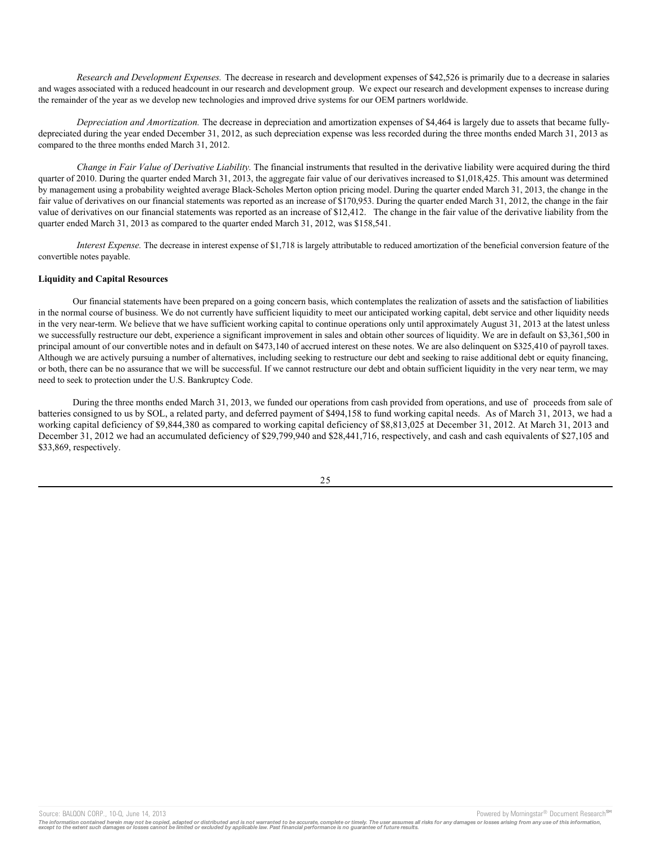*Research and Development Expenses.* The decrease in research and development expenses of \$42,526 is primarily due to a decrease in salaries and wages associated with a reduced headcount in our research and development group. We expect our research and development expenses to increase during the remainder of the year as we develop new technologies and improved drive systems for our OEM partners worldwide.

*Depreciation and Amortization.* The decrease in depreciation and amortization expenses of \$4,464 is largely due to assets that became fullydepreciated during the year ended December 31, 2012, as such depreciation expense was less recorded during the three months ended March 31, 2013 as compared to the three months ended March 31, 2012.

*Change in Fair Value of Derivative Liability.* The financial instruments that resulted in the derivative liability were acquired during the third quarter of 2010. During the quarter ended March 31, 2013, the aggregate fair value of our derivatives increased to \$1,018,425. This amount was determined by management using a probability weighted average Black-Scholes Merton option pricing model. During the quarter ended March 31, 2013, the change in the fair value of derivatives on our financial statements was reported as an increase of \$170,953. During the quarter ended March 31, 2012, the change in the fair value of derivatives on our financial statements was reported as an increase of \$12,412. The change in the fair value of the derivative liability from the quarter ended March 31, 2013 as compared to the quarter ended March 31, 2012, was \$158,541.

*Interest Expense.* The decrease in interest expense of \$1,718 is largely attributable to reduced amortization of the beneficial conversion feature of the convertible notes payable.

## **Liquidity and Capital Resources**

Our financial statements have been prepared on a going concern basis, which contemplates the realization of assets and the satisfaction of liabilities in the normal course of business. We do not currently have sufficient liquidity to meet our anticipated working capital, debt service and other liquidity needs in the very near-term. We believe that we have sufficient working capital to continue operations only until approximately August 31, 2013 at the latest unless we successfully restructure our debt, experience a significant improvement in sales and obtain other sources of liquidity. We are in default on \$3,361,500 in principal amount of our convertible notes and in default on \$473,140 of accrued interest on these notes. We are also delinquent on \$325,410 of payroll taxes. Although we are actively pursuing a number of alternatives, including seeking to restructure our debt and seeking to raise additional debt or equity financing, or both, there can be no assurance that we will be successful. If we cannot restructure our debt and obtain sufficient liquidity in the very near term, we may need to seek to protection under the U.S. Bankruptcy Code.

During the three months ended March 31, 2013, we funded our operations from cash provided from operations, and use of proceeds from sale of batteries consigned to us by SOL, a related party, and deferred payment of \$494,158 to fund working capital needs. As of March 31, 2013, we had a working capital deficiency of \$9,844,380 as compared to working capital deficiency of \$8,813,025 at December 31, 2012. At March 31, 2013 and December 31, 2012 we had an accumulated deficiency of \$29,799,940 and \$28,441,716, respectively, and cash and cash equivalents of \$27,105 and \$33,869, respectively.

25

Source: BALQON CORP., 10-Q, June 14, 2013 **Powered by Morningstar® Document Research** <sup>sm</sup>

The information contained herein may not be copied, adapted or distributed and is not warranted to be accurate, complete or timely. The user assumes all risks for any damages or losses arising from any use of this informat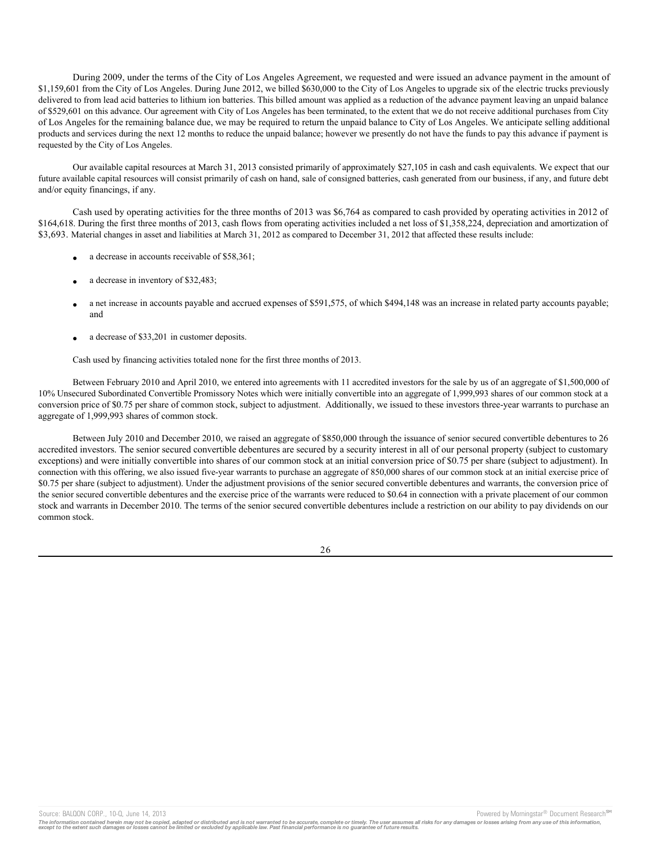During 2009, under the terms of the City of Los Angeles Agreement, we requested and were issued an advance payment in the amount of \$1,159,601 from the City of Los Angeles. During June 2012, we billed \$630,000 to the City of Los Angeles to upgrade six of the electric trucks previously delivered to from lead acid batteries to lithium ion batteries. This billed amount was applied as a reduction of the advance payment leaving an unpaid balance of \$529,601 on this advance. Our agreement with City of Los Angeles has been terminated, to the extent that we do not receive additional purchases from City of Los Angeles for the remaining balance due, we may be required to return the unpaid balance to City of Los Angeles. We anticipate selling additional products and services during the next 12 months to reduce the unpaid balance; however we presently do not have the funds to pay this advance if payment is requested by the City of Los Angeles.

Our available capital resources at March 31, 2013 consisted primarily of approximately \$27,105 in cash and cash equivalents. We expect that our future available capital resources will consist primarily of cash on hand, sale of consigned batteries, cash generated from our business, if any, and future debt and/or equity financings, if any.

Cash used by operating activities for the three months of 2013 was \$6,764 as compared to cash provided by operating activities in 2012 of \$164,618. During the first three months of 2013, cash flows from operating activities included a net loss of \$1,358,224, depreciation and amortization of \$3,693. Material changes in asset and liabilities at March 31, 2012 as compared to December 31, 2012 that affected these results include:

- a decrease in accounts receivable of \$58,361;
- a decrease in inventory of \$32,483;
- · a net increase in accounts payable and accrued expenses of \$591,575, of which \$494,148 was an increase in related party accounts payable; and
- a decrease of \$33,201 in customer deposits.

Cash used by financing activities totaled none for the first three months of 2013.

Between February 2010 and April 2010, we entered into agreements with 11 accredited investors for the sale by us of an aggregate of \$1,500,000 of 10% Unsecured Subordinated Convertible Promissory Notes which were initially convertible into an aggregate of 1,999,993 shares of our common stock at a conversion price of \$0.75 per share of common stock, subject to adjustment. Additionally, we issued to these investors three-year warrants to purchase an aggregate of 1,999,993 shares of common stock.

Between July 2010 and December 2010, we raised an aggregate of \$850,000 through the issuance of senior secured convertible debentures to 26 accredited investors. The senior secured convertible debentures are secured by a security interest in all of our personal property (subject to customary exceptions) and were initially convertible into shares of our common stock at an initial conversion price of \$0.75 per share (subject to adjustment). In connection with this offering, we also issued five-year warrants to purchase an aggregate of 850,000 shares of our common stock at an initial exercise price of \$0.75 per share (subject to adjustment). Under the adjustment provisions of the senior secured convertible debentures and warrants, the conversion price of the senior secured convertible debentures and the exercise price of the warrants were reduced to \$0.64 in connection with a private placement of our common stock and warrants in December 2010. The terms of the senior secured convertible debentures include a restriction on our ability to pay dividends on our common stock.

Source: BALQON CORP., 10-Q, June 14, 2013 **Powered by Morningstar<sup>®</sup> Document Research<sup>SM</sup>**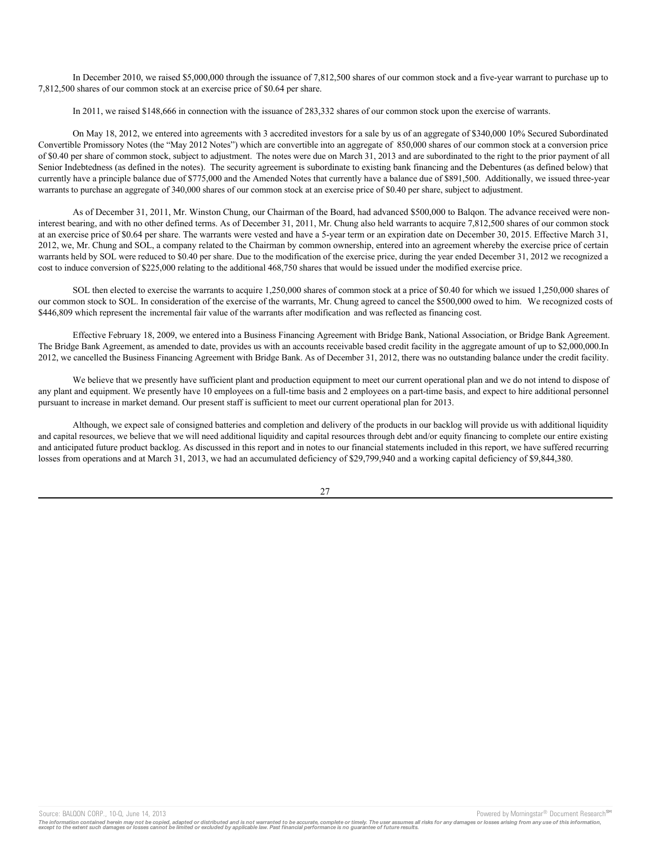In December 2010, we raised \$5,000,000 through the issuance of 7,812,500 shares of our common stock and a five-year warrant to purchase up to 7,812,500 shares of our common stock at an exercise price of \$0.64 per share.

In 2011, we raised \$148,666 in connection with the issuance of 283,332 shares of our common stock upon the exercise of warrants.

On May 18, 2012, we entered into agreements with 3 accredited investors for a sale by us of an aggregate of \$340,000 10% Secured Subordinated Convertible Promissory Notes (the "May 2012 Notes") which are convertible into an aggregate of 850,000 shares of our common stock at a conversion price of \$0.40 per share of common stock, subject to adjustment. The notes were due on March 31, 2013 and are subordinated to the right to the prior payment of all Senior Indebtedness (as defined in the notes). The security agreement is subordinate to existing bank financing and the Debentures (as defined below) that currently have a principle balance due of \$775,000 and the Amended Notes that currently have a balance due of \$891,500. Additionally, we issued three-year warrants to purchase an aggregate of 340,000 shares of our common stock at an exercise price of \$0.40 per share, subject to adjustment.

As of December 31, 2011, Mr. Winston Chung, our Chairman of the Board, had advanced \$500,000 to Balqon. The advance received were noninterest bearing, and with no other defined terms. As of December 31, 2011, Mr. Chung also held warrants to acquire 7,812,500 shares of our common stock at an exercise price of \$0.64 per share. The warrants were vested and have a 5-year term or an expiration date on December 30, 2015. Effective March 31, 2012, we, Mr. Chung and SOL, a company related to the Chairman by common ownership, entered into an agreement whereby the exercise price of certain warrants held by SOL were reduced to \$0.40 per share. Due to the modification of the exercise price, during the year ended December 31, 2012 we recognized a cost to induce conversion of \$225,000 relating to the additional 468,750 shares that would be issued under the modified exercise price.

SOL then elected to exercise the warrants to acquire 1,250,000 shares of common stock at a price of \$0.40 for which we issued 1,250,000 shares of our common stock to SOL. In consideration of the exercise of the warrants, Mr. Chung agreed to cancel the \$500,000 owed to him. We recognized costs of \$446,809 which represent the incremental fair value of the warrants after modification and was reflected as financing cost.

Effective February 18, 2009, we entered into a Business Financing Agreement with Bridge Bank, National Association, or Bridge Bank Agreement. The Bridge Bank Agreement, as amended to date, provides us with an accounts receivable based credit facility in the aggregate amount of up to \$2,000,000.In 2012, we cancelled the Business Financing Agreement with Bridge Bank. As of December 31, 2012, there was no outstanding balance under the credit facility.

We believe that we presently have sufficient plant and production equipment to meet our current operational plan and we do not intend to dispose of any plant and equipment. We presently have 10 employees on a full-time basis and 2 employees on a part-time basis, and expect to hire additional personnel pursuant to increase in market demand. Our present staff is sufficient to meet our current operational plan for 2013.

Although, we expect sale of consigned batteries and completion and delivery of the products in our backlog will provide us with additional liquidity and capital resources, we believe that we will need additional liquidity and capital resources through debt and/or equity financing to complete our entire existing and anticipated future product backlog. As discussed in this report and in notes to our financial statements included in this report, we have suffered recurring losses from operations and at March 31, 2013, we had an accumulated deficiency of \$29,799,940 and a working capital deficiency of \$9,844,380.

27

Source: BALQON CORP., 10-Q, June 14, 2013 **Powered by Morningstar® Document Research** in Powered by Morningstar® Document Research in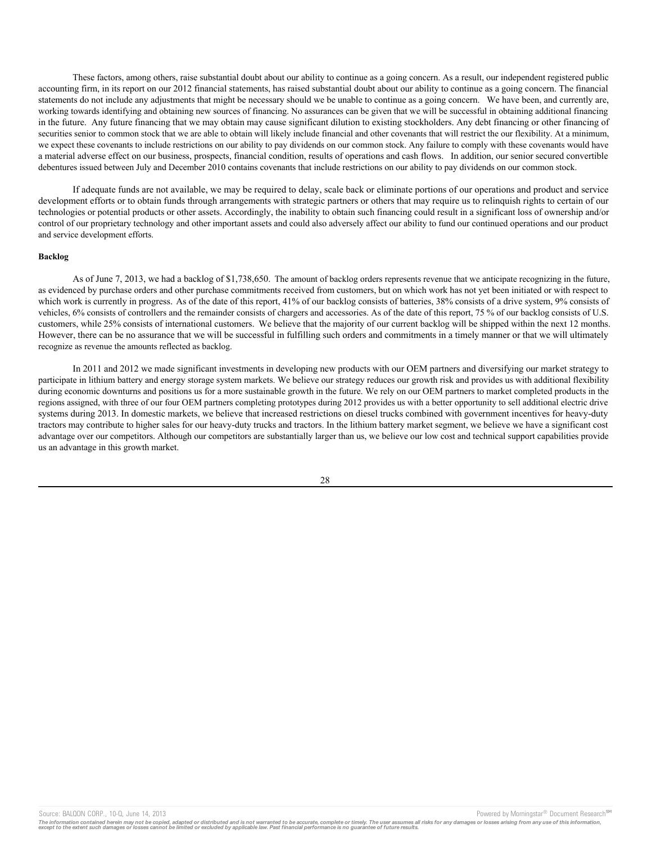These factors, among others, raise substantial doubt about our ability to continue as a going concern. As a result, our independent registered public accounting firm, in its report on our 2012 financial statements, has raised substantial doubt about our ability to continue as a going concern. The financial statements do not include any adjustments that might be necessary should we be unable to continue as a going concern. We have been, and currently are, working towards identifying and obtaining new sources of financing. No assurances can be given that we will be successful in obtaining additional financing in the future. Any future financing that we may obtain may cause significant dilution to existing stockholders. Any debt financing or other financing of securities senior to common stock that we are able to obtain will likely include financial and other covenants that will restrict the our flexibility. At a minimum, we expect these covenants to include restrictions on our ability to pay dividends on our common stock. Any failure to comply with these covenants would have a material adverse effect on our business, prospects, financial condition, results of operations and cash flows. In addition, our senior secured convertible debentures issued between July and December 2010 contains covenants that include restrictions on our ability to pay dividends on our common stock.

If adequate funds are not available, we may be required to delay, scale back or eliminate portions of our operations and product and service development efforts or to obtain funds through arrangements with strategic partners or others that may require us to relinquish rights to certain of our technologies or potential products or other assets. Accordingly, the inability to obtain such financing could result in a significant loss of ownership and/or control of our proprietary technology and other important assets and could also adversely affect our ability to fund our continued operations and our product and service development efforts.

#### **Backlog**

As of June 7, 2013, we had a backlog of \$1,738,650. The amount of backlog orders represents revenue that we anticipate recognizing in the future, as evidenced by purchase orders and other purchase commitments received from customers, but on which work has not yet been initiated or with respect to which work is currently in progress. As of the date of this report, 41% of our backlog consists of batteries, 38% consists of a drive system, 9% consists of vehicles, 6% consists of controllers and the remainder consists of chargers and accessories. As of the date of this report, 75 % of our backlog consists of U.S. customers, while 25% consists of international customers. We believe that the majority of our current backlog will be shipped within the next 12 months. However, there can be no assurance that we will be successful in fulfilling such orders and commitments in a timely manner or that we will ultimately recognize as revenue the amounts reflected as backlog.

In 2011 and 2012 we made significant investments in developing new products with our OEM partners and diversifying our market strategy to participate in lithium battery and energy storage system markets. We believe our strategy reduces our growth risk and provides us with additional flexibility during economic downturns and positions us for a more sustainable growth in the future. We rely on our OEM partners to market completed products in the regions assigned, with three of our four OEM partners completing prototypes during 2012 provides us with a better opportunity to sell additional electric drive systems during 2013. In domestic markets, we believe that increased restrictions on diesel trucks combined with government incentives for heavy-duty tractors may contribute to higher sales for our heavy-duty trucks and tractors. In the lithium battery market segment, we believe we have a significant cost advantage over our competitors. Although our competitors are substantially larger than us, we believe our low cost and technical support capabilities provide us an advantage in this growth market.

28

Source: BALQON CORP., 10-Q, June 14, 2013 **Powered by Morningstar® Document Research** in the second powered by Morningstar® Document Research in the second of the second powered by Morningstar® Document Research in the sec

The information contained herein may not be copied, adapted or distributed and is not warranted to be accurate, complete or timely. The user assumes all risks for any damages or losses arising from any use of this informat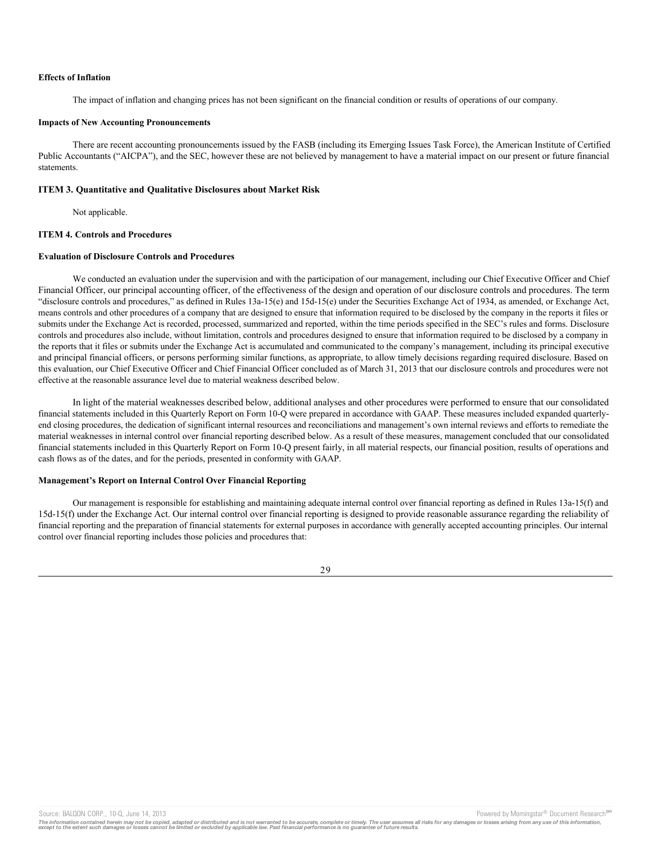## **Effects of Inflation**

The impact of inflation and changing prices has not been significant on the financial condition or results of operations of our company.

#### **Impacts of New Accounting Pronouncements**

There are recent accounting pronouncements issued by the FASB (including its Emerging Issues Task Force), the American Institute of Certified Public Accountants ("AICPA"), and the SEC, however these are not believed by management to have a material impact on our present or future financial statements.

#### **ITEM 3. Quantitative and Qualitative Disclosures about Market Risk**

Not applicable.

### **ITEM 4. Controls and Procedures**

## **Evaluation of Disclosure Controls and Procedures**

We conducted an evaluation under the supervision and with the participation of our management, including our Chief Executive Officer and Chief Financial Officer, our principal accounting officer, of the effectiveness of the design and operation of our disclosure controls and procedures. The term "disclosure controls and procedures," as defined in Rules 13a-15(e) and 15d-15(e) under the Securities Exchange Act of 1934, as amended, or Exchange Act, means controls and other procedures of a company that are designed to ensure that information required to be disclosed by the company in the reports it files or submits under the Exchange Act is recorded, processed, summarized and reported, within the time periods specified in the SEC's rules and forms. Disclosure controls and procedures also include, without limitation, controls and procedures designed to ensure that information required to be disclosed by a company in the reports that it files or submits under the Exchange Act is accumulated and communicated to the company's management, including its principal executive and principal financial officers, or persons performing similar functions, as appropriate, to allow timely decisions regarding required disclosure. Based on this evaluation, our Chief Executive Officer and Chief Financial Officer concluded as of March 31, 2013 that our disclosure controls and procedures were not effective at the reasonable assurance level due to material weakness described below.

In light of the material weaknesses described below, additional analyses and other procedures were performed to ensure that our consolidated financial statements included in this Quarterly Report on Form 10-Q were prepared in accordance with GAAP. These measures included expanded quarterlyend closing procedures, the dedication of significant internal resources and reconciliations and management's own internal reviews and efforts to remediate the material weaknesses in internal control over financial reporting described below. As a result of these measures, management concluded that our consolidated financial statements included in this Quarterly Report on Form 10-Q present fairly, in all material respects, our financial position, results of operations and cash flows as of the dates, and for the periods, presented in conformity with GAAP.

## **Management's Report on Internal Control Over Financial Reporting**

Our management is responsible for establishing and maintaining adequate internal control over financial reporting as defined in Rules 13a-15(f) and 15d-15(f) under the Exchange Act. Our internal control over financial reporting is designed to provide reasonable assurance regarding the reliability of financial reporting and the preparation of financial statements for external purposes in accordance with generally accepted accounting principles. Our internal control over financial reporting includes those policies and procedures that:



Source: BALQON CORP., 10-Q, June 14, 2013 **Powered by Morningstar® Document Research** in Powered by Morningstar® Document Research in

The information contained herein may not be copied, adapted or distributed and is not warranted to be accurate, complete or timely. The user assumes all risks for any damages or losses arising from any use of this informat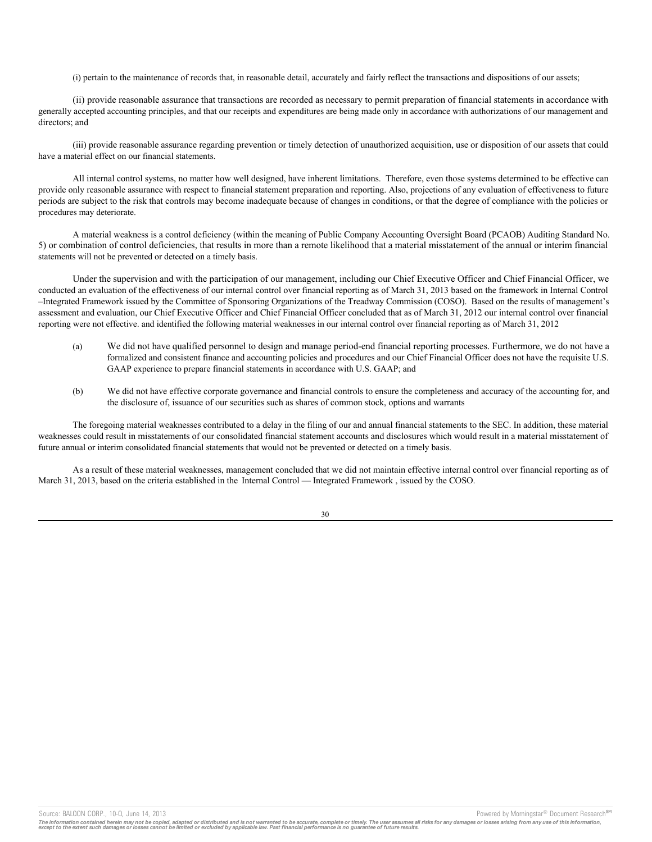(i) pertain to the maintenance of records that, in reasonable detail, accurately and fairly reflect the transactions and dispositions of our assets;

(ii) provide reasonable assurance that transactions are recorded as necessary to permit preparation of financial statements in accordance with generally accepted accounting principles, and that our receipts and expenditures are being made only in accordance with authorizations of our management and directors; and

(iii) provide reasonable assurance regarding prevention or timely detection of unauthorized acquisition, use or disposition of our assets that could have a material effect on our financial statements.

All internal control systems, no matter how well designed, have inherent limitations. Therefore, even those systems determined to be effective can provide only reasonable assurance with respect to financial statement preparation and reporting. Also, projections of any evaluation of effectiveness to future periods are subject to the risk that controls may become inadequate because of changes in conditions, or that the degree of compliance with the policies or procedures may deteriorate.

A material weakness is a control deficiency (within the meaning of Public Company Accounting Oversight Board (PCAOB) Auditing Standard No. 5) or combination of control deficiencies, that results in more than a remote likelihood that a material misstatement of the annual or interim financial statements will not be prevented or detected on a timely basis.

Under the supervision and with the participation of our management, including our Chief Executive Officer and Chief Financial Officer, we conducted an evaluation of the effectiveness of our internal control over financial reporting as of March 31, 2013 based on the framework in Internal Control –Integrated Framework issued by the Committee of Sponsoring Organizations of the Treadway Commission (COSO). Based on the results of management's assessment and evaluation, our Chief Executive Officer and Chief Financial Officer concluded that as of March 31, 2012 our internal control over financial reporting were not effective. and identified the following material weaknesses in our internal control over financial reporting as of March 31, 2012

- (a) We did not have qualified personnel to design and manage period-end financial reporting processes. Furthermore, we do not have a formalized and consistent finance and accounting policies and procedures and our Chief Financial Officer does not have the requisite U.S. GAAP experience to prepare financial statements in accordance with U.S. GAAP; and
- (b) We did not have effective corporate governance and financial controls to ensure the completeness and accuracy of the accounting for, and the disclosure of, issuance of our securities such as shares of common stock, options and warrants

The foregoing material weaknesses contributed to a delay in the filing of our and annual financial statements to the SEC. In addition, these material weaknesses could result in misstatements of our consolidated financial statement accounts and disclosures which would result in a material misstatement of future annual or interim consolidated financial statements that would not be prevented or detected on a timely basis.

As a result of these material weaknesses, management concluded that we did not maintain effective internal control over financial reporting as of March 31, 2013, based on the criteria established in the Internal Control — Integrated Framework , issued by the COSO.

30

Source: BALQON CORP., 10-Q, June 14, 2013 **Powered by Morningstar® Document Research** <sup>sm</sup>

The information contained herein may not be copied, adapted or distributed and is not warranted to be accurate, complete or timely. The user assumes all risks for any damages or losses arising from any use of this informat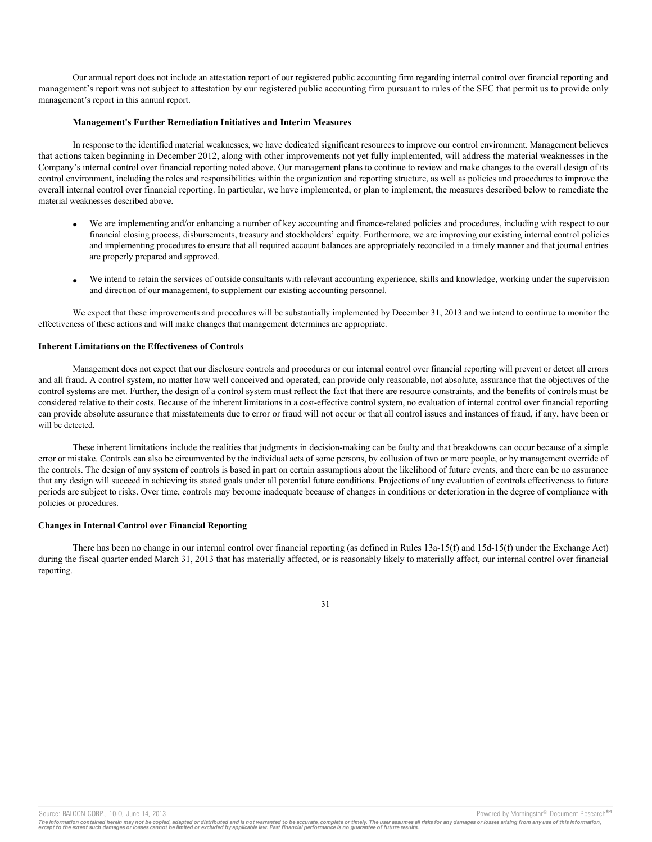Our annual report does not include an attestation report of our registered public accounting firm regarding internal control over financial reporting and management's report was not subject to attestation by our registered public accounting firm pursuant to rules of the SEC that permit us to provide only management's report in this annual report.

#### **Management's Further Remediation Initiatives and Interim Measures**

In response to the identified material weaknesses, we have dedicated significant resources to improve our control environment. Management believes that actions taken beginning in December 2012, along with other improvements not yet fully implemented, will address the material weaknesses in the Company's internal control over financial reporting noted above. Our management plans to continue to review and make changes to the overall design of its control environment, including the roles and responsibilities within the organization and reporting structure, as well as policies and procedures to improve the overall internal control over financial reporting. In particular, we have implemented, or plan to implement, the measures described below to remediate the material weaknesses described above.

- We are implementing and/or enhancing a number of key accounting and finance-related policies and procedures, including with respect to our financial closing process, disbursements, treasury and stockholders' equity. Furthermore, we are improving our existing internal control policies and implementing procedures to ensure that all required account balances are appropriately reconciled in a timely manner and that journal entries are properly prepared and approved.
- We intend to retain the services of outside consultants with relevant accounting experience, skills and knowledge, working under the supervision and direction of our management, to supplement our existing accounting personnel.

We expect that these improvements and procedures will be substantially implemented by December 31, 2013 and we intend to continue to monitor the effectiveness of these actions and will make changes that management determines are appropriate.

#### **Inherent Limitations on the Effectiveness of Controls**

Management does not expect that our disclosure controls and procedures or our internal control over financial reporting will prevent or detect all errors and all fraud. A control system, no matter how well conceived and operated, can provide only reasonable, not absolute, assurance that the objectives of the control systems are met. Further, the design of a control system must reflect the fact that there are resource constraints, and the benefits of controls must be considered relative to their costs. Because of the inherent limitations in a cost-effective control system, no evaluation of internal control over financial reporting can provide absolute assurance that misstatements due to error or fraud will not occur or that all control issues and instances of fraud, if any, have been or will be detected.

These inherent limitations include the realities that judgments in decision-making can be faulty and that breakdowns can occur because of a simple error or mistake. Controls can also be circumvented by the individual acts of some persons, by collusion of two or more people, or by management override of the controls. The design of any system of controls is based in part on certain assumptions about the likelihood of future events, and there can be no assurance that any design will succeed in achieving its stated goals under all potential future conditions. Projections of any evaluation of controls effectiveness to future periods are subject to risks. Over time, controls may become inadequate because of changes in conditions or deterioration in the degree of compliance with policies or procedures.

### **Changes in Internal Control over Financial Reporting**

There has been no change in our internal control over financial reporting (as defined in Rules 13a-15(f) and 15d-15(f) under the Exchange Act) during the fiscal quarter ended March 31, 2013 that has materially affected, or is reasonably likely to materially affect, our internal control over financial reporting.



Source: BALQON CORP., 10-Q, June 14, 2013 **Powered by Morningstar® Document Research** in the second powered by Morningstar® Document Research in the second of the second powered by Morningstar® Document Research in the sec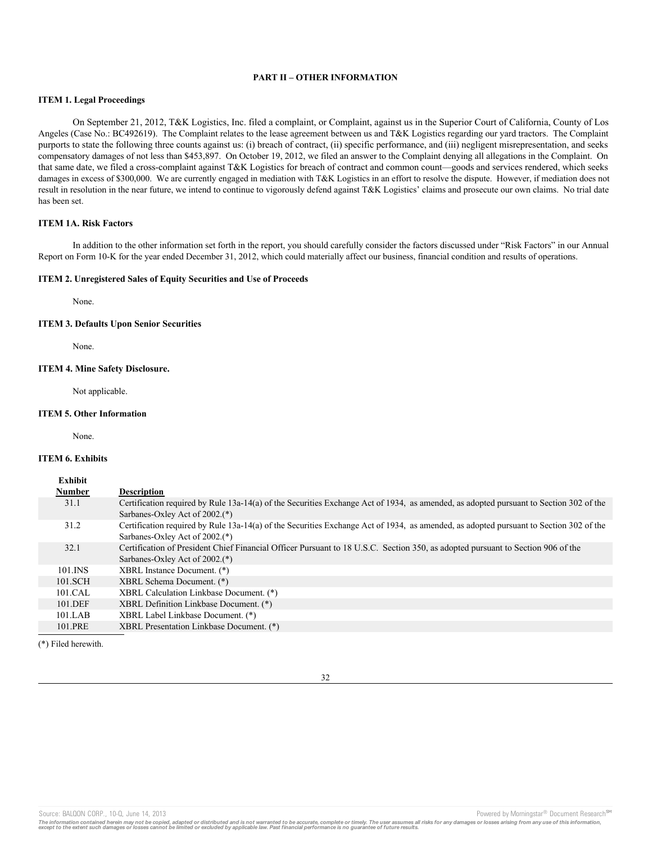## **PART II – OTHER INFORMATION**

## **ITEM 1. Legal Proceedings**

On September 21, 2012, T&K Logistics, Inc. filed a complaint, or Complaint, against us in the Superior Court of California, County of Los Angeles (Case No.: BC492619). The Complaint relates to the lease agreement between us and T&K Logistics regarding our yard tractors. The Complaint purports to state the following three counts against us: (i) breach of contract, (ii) specific performance, and (iii) negligent misrepresentation, and seeks compensatory damages of not less than \$453,897. On October 19, 2012, we filed an answer to the Complaint denying all allegations in the Complaint. On that same date, we filed a cross-complaint against T&K Logistics for breach of contract and common count—goods and services rendered, which seeks damages in excess of \$300,000. We are currently engaged in mediation with T&K Logistics in an effort to resolve the dispute. However, if mediation does not result in resolution in the near future, we intend to continue to vigorously defend against T&K Logistics' claims and prosecute our own claims. No trial date has been set.

## **ITEM 1A. Risk Factors**

In addition to the other information set forth in the report, you should carefully consider the factors discussed under "Risk Factors" in our Annual Report on Form 10-K for the year ended December 31, 2012, which could materially affect our business, financial condition and results of operations.

#### **ITEM 2. Unregistered Sales of Equity Securities and Use of Proceeds**

None.

### **ITEM 3. Defaults Upon Senior Securities**

None.

#### **ITEM 4. Mine Safety Disclosure.**

Not applicable.

#### **ITEM 5. Other Information**

None.

# **ITEM 6. Exhibits**

| Exhibit       |                                                                                                                                                                          |
|---------------|--------------------------------------------------------------------------------------------------------------------------------------------------------------------------|
| <b>Number</b> | <b>Description</b>                                                                                                                                                       |
| 31.1          | Certification required by Rule 13a-14(a) of the Securities Exchange Act of 1934, as amended, as adopted pursuant to Section 302 of the<br>Sarbanes-Oxley Act of 2002.(*) |
| 31.2          | Certification required by Rule 13a-14(a) of the Securities Exchange Act of 1934, as amended, as adopted pursuant to Section 302 of the<br>Sarbanes-Oxley Act of 2002.(*) |
| 32.1          | Certification of President Chief Financial Officer Pursuant to 18 U.S.C. Section 350, as adopted pursuant to Section 906 of the<br>Sarbanes-Oxley Act of 2002.(*)        |
| 101.INS       | XBRL Instance Document. (*)                                                                                                                                              |
| 101.SCH       | XBRL Schema Document. (*)                                                                                                                                                |
| 101.CAL       | XBRL Calculation Linkbase Document. (*)                                                                                                                                  |
| 101.DEF       | XBRL Definition Linkbase Document. (*)                                                                                                                                   |
| 101.LAB       | XBRL Label Linkbase Document. (*)                                                                                                                                        |
| 101.PRE       | XBRL Presentation Linkbase Document. (*)                                                                                                                                 |

(\*) Filed herewith.

Source: BALQON CORP., 10-Q, June 14, 2013 **Powered by Morningstar<sup>®</sup> Document Research<sup>sM</sup>**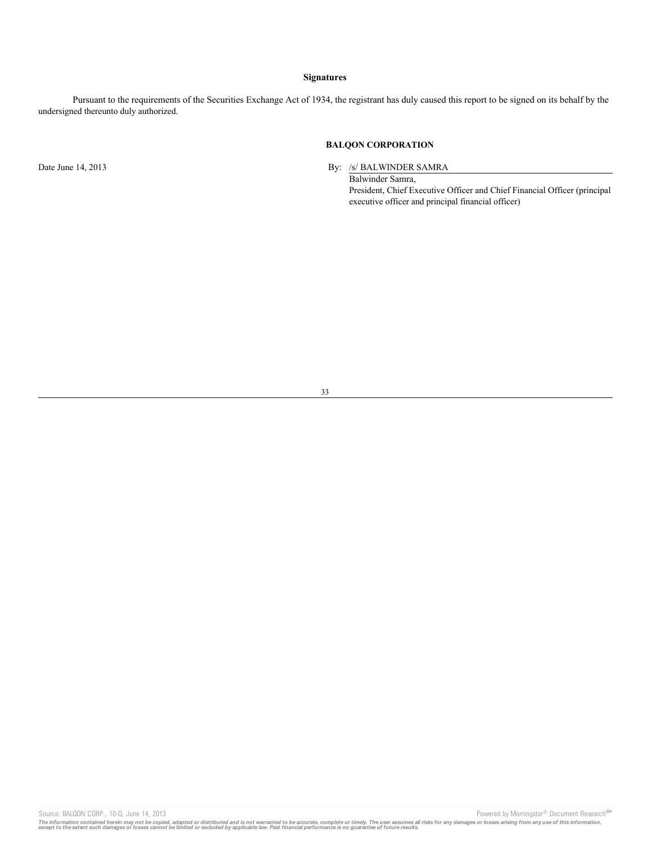## **Signatures**

Pursuant to the requirements of the Securities Exchange Act of 1934, the registrant has duly caused this report to be signed on its behalf by the undersigned thereunto duly authorized.

# **BALQON CORPORATION**

Date June 14, 2013 By: /s/ BALWINDER SAMRA

Balwinder Samra, President, Chief Executive Officer and Chief Financial Officer (principal executive officer and principal financial officer)

33

Source: BALQON CORP., 10-Q, June 14, 2013 **Powered by Morningstar® Document Research** SM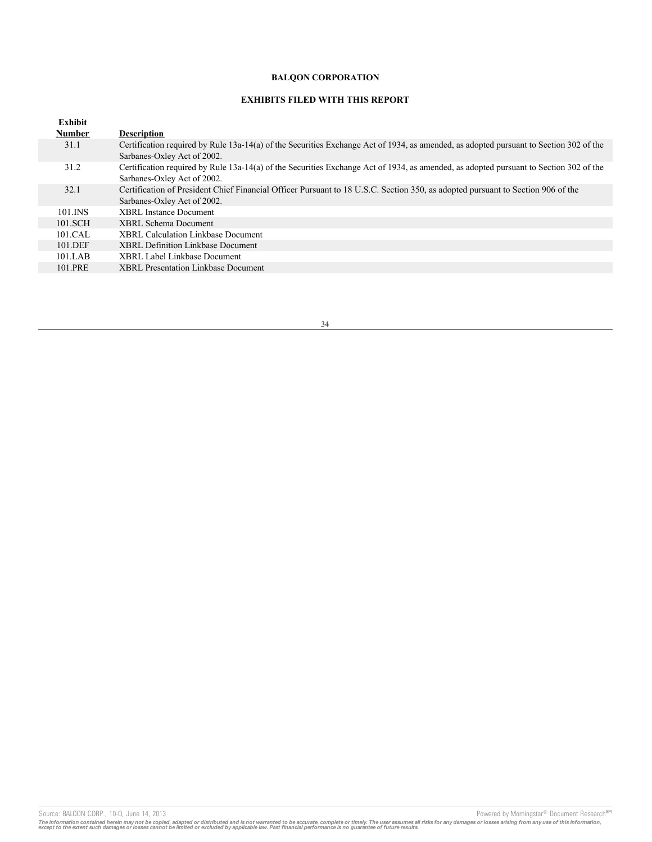# **EXHIBITS FILED WITH THIS REPORT**

| Exhibit       |                                                                                                                                                                       |
|---------------|-----------------------------------------------------------------------------------------------------------------------------------------------------------------------|
| <b>Number</b> | <b>Description</b>                                                                                                                                                    |
| 31.1          | Certification required by Rule 13a-14(a) of the Securities Exchange Act of 1934, as amended, as adopted pursuant to Section 302 of the<br>Sarbanes-Oxley Act of 2002. |
| 31.2          | Certification required by Rule 13a-14(a) of the Securities Exchange Act of 1934, as amended, as adopted pursuant to Section 302 of the<br>Sarbanes-Oxley Act of 2002. |
| 32.1          | Certification of President Chief Financial Officer Pursuant to 18 U.S.C. Section 350, as adopted pursuant to Section 906 of the<br>Sarbanes-Oxley Act of 2002.        |
| 101.INS       | <b>XBRL</b> Instance Document                                                                                                                                         |
| 101.SCH       | XBRL Schema Document                                                                                                                                                  |
| 101.CAL       | <b>XBRL Calculation Linkbase Document</b>                                                                                                                             |
| 101.DEF       | <b>XBRL Definition Linkbase Document</b>                                                                                                                              |
| 101.LAB       | XBRL Label Linkbase Document                                                                                                                                          |
| 101.PRE       | XBRL Presentation Linkbase Document                                                                                                                                   |
|               |                                                                                                                                                                       |

34

Source: BALQON CORP., 10-Q, June 14, 2013<br>The information contained herein may not be copied, adapted or distributed and is not warranted to be accurate, complete or timely. The user assumes all risks for any damages or lo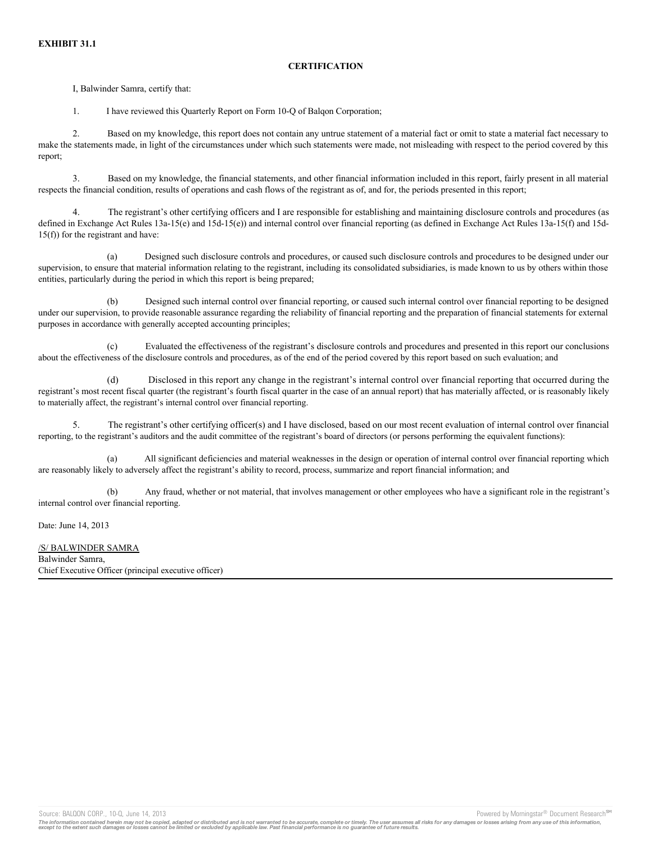# **CERTIFICATION**

I, Balwinder Samra, certify that:

1. I have reviewed this Quarterly Report on Form 10-Q of Balqon Corporation;

2. Based on my knowledge, this report does not contain any untrue statement of a material fact or omit to state a material fact necessary to make the statements made, in light of the circumstances under which such statements were made, not misleading with respect to the period covered by this report;

3. Based on my knowledge, the financial statements, and other financial information included in this report, fairly present in all material respects the financial condition, results of operations and cash flows of the registrant as of, and for, the periods presented in this report;

4. The registrant's other certifying officers and I are responsible for establishing and maintaining disclosure controls and procedures (as defined in Exchange Act Rules 13a-15(e) and 15d-15(e)) and internal control over financial reporting (as defined in Exchange Act Rules 13a-15(f) and 15d-15(f)) for the registrant and have:

(a) Designed such disclosure controls and procedures, or caused such disclosure controls and procedures to be designed under our supervision, to ensure that material information relating to the registrant, including its consolidated subsidiaries, is made known to us by others within those entities, particularly during the period in which this report is being prepared;

(b) Designed such internal control over financial reporting, or caused such internal control over financial reporting to be designed under our supervision, to provide reasonable assurance regarding the reliability of financial reporting and the preparation of financial statements for external purposes in accordance with generally accepted accounting principles;

(c) Evaluated the effectiveness of the registrant's disclosure controls and procedures and presented in this report our conclusions about the effectiveness of the disclosure controls and procedures, as of the end of the period covered by this report based on such evaluation; and

(d) Disclosed in this report any change in the registrant's internal control over financial reporting that occurred during the registrant's most recent fiscal quarter (the registrant's fourth fiscal quarter in the case of an annual report) that has materially affected, or is reasonably likely to materially affect, the registrant's internal control over financial reporting.

5. The registrant's other certifying officer(s) and I have disclosed, based on our most recent evaluation of internal control over financial reporting, to the registrant's auditors and the audit committee of the registrant's board of directors (or persons performing the equivalent functions):

(a) All significant deficiencies and material weaknesses in the design or operation of internal control over financial reporting which are reasonably likely to adversely affect the registrant's ability to record, process, summarize and report financial information; and

(b) Any fraud, whether or not material, that involves management or other employees who have a significant role in the registrant's internal control over financial reporting.

Date: June 14, 2013

/S/ BALWINDER SAMRA Balwinder Samra, Chief Executive Officer (principal executive officer)

Source: BALQON CORP., 10-Q, June 14, 2013 **Powered by Morningstar® Document Research** in Powered by Morningstar® Document Research in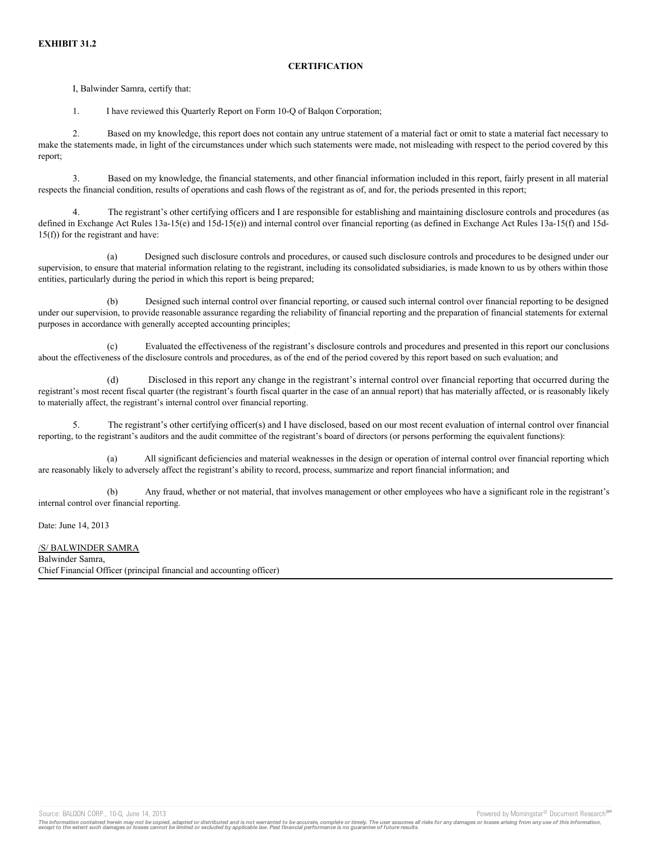# **CERTIFICATION**

I, Balwinder Samra, certify that:

1. I have reviewed this Quarterly Report on Form 10-Q of Balqon Corporation;

2. Based on my knowledge, this report does not contain any untrue statement of a material fact or omit to state a material fact necessary to make the statements made, in light of the circumstances under which such statements were made, not misleading with respect to the period covered by this report;

3. Based on my knowledge, the financial statements, and other financial information included in this report, fairly present in all material respects the financial condition, results of operations and cash flows of the registrant as of, and for, the periods presented in this report;

4. The registrant's other certifying officers and I are responsible for establishing and maintaining disclosure controls and procedures (as defined in Exchange Act Rules 13a-15(e) and 15d-15(e)) and internal control over financial reporting (as defined in Exchange Act Rules 13a-15(f) and 15d-15(f)) for the registrant and have:

(a) Designed such disclosure controls and procedures, or caused such disclosure controls and procedures to be designed under our supervision, to ensure that material information relating to the registrant, including its consolidated subsidiaries, is made known to us by others within those entities, particularly during the period in which this report is being prepared;

(b) Designed such internal control over financial reporting, or caused such internal control over financial reporting to be designed under our supervision, to provide reasonable assurance regarding the reliability of financial reporting and the preparation of financial statements for external purposes in accordance with generally accepted accounting principles;

(c) Evaluated the effectiveness of the registrant's disclosure controls and procedures and presented in this report our conclusions about the effectiveness of the disclosure controls and procedures, as of the end of the period covered by this report based on such evaluation; and

(d) Disclosed in this report any change in the registrant's internal control over financial reporting that occurred during the registrant's most recent fiscal quarter (the registrant's fourth fiscal quarter in the case of an annual report) that has materially affected, or is reasonably likely to materially affect, the registrant's internal control over financial reporting.

5. The registrant's other certifying officer(s) and I have disclosed, based on our most recent evaluation of internal control over financial reporting, to the registrant's auditors and the audit committee of the registrant's board of directors (or persons performing the equivalent functions):

(a) All significant deficiencies and material weaknesses in the design or operation of internal control over financial reporting which are reasonably likely to adversely affect the registrant's ability to record, process, summarize and report financial information; and

(b) Any fraud, whether or not material, that involves management or other employees who have a significant role in the registrant's internal control over financial reporting.

Date: June 14, 2013

/S/ BALWINDER SAMRA Balwinder Samra, Chief Financial Officer (principal financial and accounting officer)

Source: BALQON CORP., 10-Q, June 14, 2013 **Powered by Morningstar® Document Research** in Powered by Morningstar® Document Research in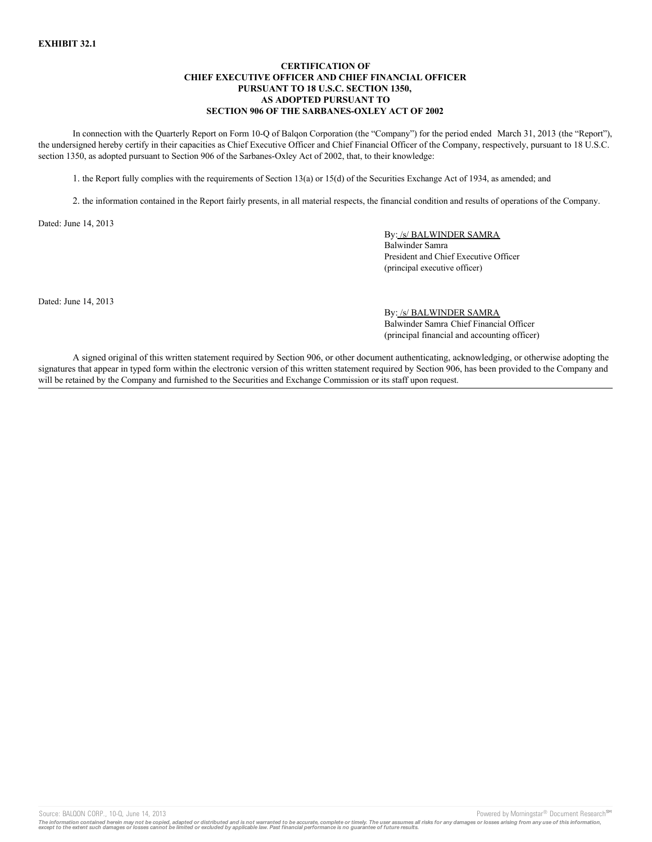## **CERTIFICATION OF CHIEF EXECUTIVE OFFICER AND CHIEF FINANCIAL OFFICER PURSUANT TO 18 U.S.C. SECTION 1350, AS ADOPTED PURSUANT TO SECTION 906 OF THE SARBANES-OXLEY ACT OF 2002**

In connection with the Quarterly Report on Form 10-Q of Balqon Corporation (the "Company") for the period ended March 31, 2013 (the "Report"), the undersigned hereby certify in their capacities as Chief Executive Officer and Chief Financial Officer of the Company, respectively, pursuant to 18 U.S.C. section 1350, as adopted pursuant to Section 906 of the Sarbanes-Oxley Act of 2002, that, to their knowledge:

1. the Report fully complies with the requirements of Section 13(a) or 15(d) of the Securities Exchange Act of 1934, as amended; and

2. the information contained in the Report fairly presents, in all material respects, the financial condition and results of operations of the Company.

Dated: June 14, 2013

By: /s/ BALWINDER SAMRA Balwinder Samra President and Chief Executive Officer (principal executive officer)

Dated: June 14, 2013

By: /s/ BALWINDER SAMRA Balwinder Samra Chief Financial Officer (principal financial and accounting officer)

A signed original of this written statement required by Section 906, or other document authenticating, acknowledging, or otherwise adopting the signatures that appear in typed form within the electronic version of this written statement required by Section 906, has been provided to the Company and will be retained by the Company and furnished to the Securities and Exchange Commission or its staff upon request.

Source: BALQON CORP., 10-Q, June 14, 2013<br>The information contained herein may not be copied, adapted or distributed and is not warranted to be accurate, complete or timely. The user assumes all risks for any damages or lo